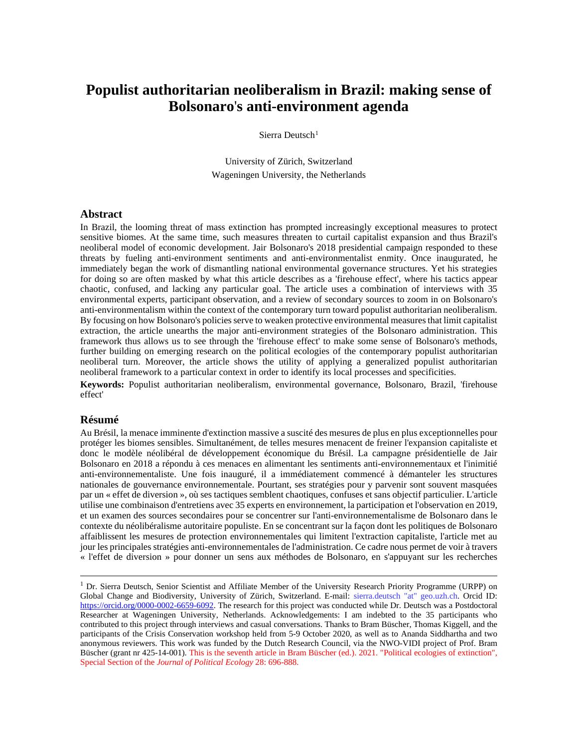# **Populist authoritarian neoliberalism in Brazil: making sense of Bolsonaro**'**s anti-environment agenda**

Sierra Deutsch<sup>[1](#page-0-0)</sup>

University of Zürich, Switzerland Wageningen University, the Netherlands

### **Abstract**

In Brazil, the looming threat of mass extinction has prompted increasingly exceptional measures to protect sensitive biomes. At the same time, such measures threaten to curtail capitalist expansion and thus Brazil's neoliberal model of economic development. Jair Bolsonaro's 2018 presidential campaign responded to these threats by fueling anti-environment sentiments and anti-environmentalist enmity. Once inaugurated, he immediately began the work of dismantling national environmental governance structures. Yet his strategies for doing so are often masked by what this article describes as a 'firehouse effect', where his tactics appear chaotic, confused, and lacking any particular goal. The article uses a combination of interviews with 35 environmental experts, participant observation, and a review of secondary sources to zoom in on Bolsonaro's anti-environmentalism within the context of the contemporary turn toward populist authoritarian neoliberalism. By focusing on how Bolsonaro's policies serve to weaken protective environmental measures that limit capitalist extraction, the article unearths the major anti-environment strategies of the Bolsonaro administration. This framework thus allows us to see through the 'firehouse effect' to make some sense of Bolsonaro's methods, further building on emerging research on the political ecologies of the contemporary populist authoritarian neoliberal turn. Moreover, the article shows the utility of applying a generalized populist authoritarian neoliberal framework to a particular context in order to identify its local processes and specificities.

**Keywords:** Populist authoritarian neoliberalism, environmental governance, Bolsonaro, Brazil, 'firehouse effect'

### **Résumé**

Au Brésil, la menace imminente d'extinction massive a suscité des mesures de plus en plus exceptionnelles pour protéger les biomes sensibles. Simultanément, de telles mesures menacent de freiner l'expansion capitaliste et donc le modèle néolibéral de développement économique du Brésil. La campagne présidentielle de Jair Bolsonaro en 2018 a répondu à ces menaces en alimentant les sentiments anti-environnementaux et l'inimitié anti-environnementaliste. Une fois inauguré, il a immédiatement commencé à démanteler les structures nationales de gouvernance environnementale. Pourtant, ses stratégies pour y parvenir sont souvent masquées par un « effet de diversion », où ses tactiques semblent chaotiques, confuses et sans objectif particulier. L'article utilise une combinaison d'entretiens avec 35 experts en environnement, la participation et l'observation en 2019, et un examen des sources secondaires pour se concentrer sur l'anti-environnementalisme de Bolsonaro dans le contexte du néolibéralisme autoritaire populiste. En se concentrant sur la façon dont les politiques de Bolsonaro affaiblissent les mesures de protection environnementales qui limitent l'extraction capitaliste, l'article met au jour les principales stratégies anti-environnementales de l'administration. Ce cadre nous permet de voir à travers « l'effet de diversion » pour donner un sens aux méthodes de Bolsonaro, en s'appuyant sur les recherches

<span id="page-0-0"></span><sup>&</sup>lt;sup>1</sup> Dr. Sierra Deutsch, Senior Scientist and Affiliate Member of the University Research Priority Programme (URPP) on Global Change and Biodiversity, University of Zürich, Switzerland. E-mail: sierra.deutsch "at" geo.uzh.ch. Orcid ID: [https://orcid.org/0000-0002-6659-6092.](https://orcid.org/0000-0002-6659-6092) The research for this project was conducted while Dr. Deutsch was a Postdoctoral Researcher at Wageningen University, Netherlands. Acknowledgements: I am indebted to the 35 participants who contributed to this project through interviews and casual conversations. Thanks to Bram Büscher, Thomas Kiggell, and the participants of the Crisis Conservation workshop held from 5-9 October 2020, as well as to Ananda Siddhartha and two anonymous reviewers. This work was funded by the Dutch Research Council, via the NWO-VIDI project of Prof. Bram Büscher (grant nr 425-14-001). This is the seventh article in Bram Büscher (ed.). 2021. "Political ecologies of extinction", Special Section of the *Journal of Political Ecology* 28: 696-888.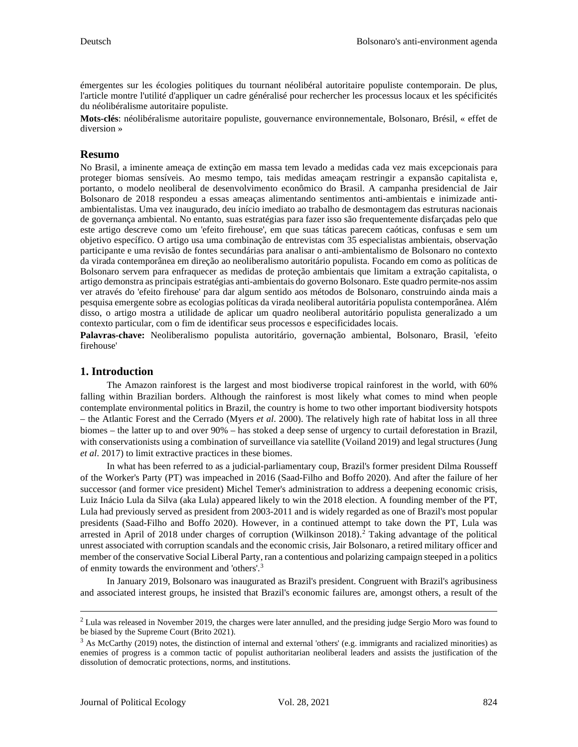émergentes sur les écologies politiques du tournant néolibéral autoritaire populiste contemporain. De plus, l'article montre l'utilité d'appliquer un cadre généralisé pour rechercher les processus locaux et les spécificités du néolibéralisme autoritaire populiste.

**Mots-clés**: néolibéralisme autoritaire populiste, gouvernance environnementale, Bolsonaro, Brésil, « effet de diversion »

### **Resumo**

No Brasil, a iminente ameaça de extinção em massa tem levado a medidas cada vez mais excepcionais para proteger biomas sensíveis. Ao mesmo tempo, tais medidas ameaçam restringir a expansão capitalista e, portanto, o modelo neoliberal de desenvolvimento econômico do Brasil. A campanha presidencial de Jair Bolsonaro de 2018 respondeu a essas ameaças alimentando sentimentos anti-ambientais e inimizade antiambientalistas. Uma vez inaugurado, deu início imediato ao trabalho de desmontagem das estruturas nacionais de governança ambiental. No entanto, suas estratégias para fazer isso são frequentemente disfarçadas pelo que este artigo descreve como um 'efeito firehouse', em que suas táticas parecem caóticas, confusas e sem um objetivo específico. O artigo usa uma combinação de entrevistas com 35 especialistas ambientais, observação participante e uma revisão de fontes secundárias para analisar o anti-ambientalismo de Bolsonaro no contexto da virada contemporânea em direção ao neoliberalismo autoritário populista. Focando em como as políticas de Bolsonaro servem para enfraquecer as medidas de proteção ambientais que limitam a extração capitalista, o artigo demonstra as principais estratégias anti-ambientais do governo Bolsonaro. Este quadro permite-nos assim ver através do 'efeito firehouse' para dar algum sentido aos métodos de Bolsonaro, construindo ainda mais a pesquisa emergente sobre as ecologias políticas da virada neoliberal autoritária populista contemporânea. Além disso, o artigo mostra a utilidade de aplicar um quadro neoliberal autoritário populista generalizado a um contexto particular, com o fim de identificar seus processos e especificidades locais.

**Palavras-chave:** Neoliberalismo populista autoritário, governação ambiental, Bolsonaro, Brasil, 'efeito firehouse'

### **1. Introduction**

The Amazon rainforest is the largest and most biodiverse tropical rainforest in the world, with 60% falling within Brazilian borders. Although the rainforest is most likely what comes to mind when people contemplate environmental politics in Brazil, the country is home to two other important biodiversity hotspots – the Atlantic Forest and the Cerrado (Myers *et al*. 2000). The relatively high rate of habitat loss in all three biomes – the latter up to and over 90% – has stoked a deep sense of urgency to curtail deforestation in Brazil, with conservationists using a combination of surveillance via satellite (Voiland 2019) and legal structures (Jung *et al*. 2017) to limit extractive practices in these biomes.

In what has been referred to as a judicial-parliamentary coup, Brazil's former president Dilma Rousseff of the Worker's Party (PT) was impeached in 2016 (Saad-Filho and Boffo 2020). And after the failure of her successor (and former vice president) Michel Temer's administration to address a deepening economic crisis, Luiz Inácio Lula da Silva (aka Lula) appeared likely to win the 2018 election. A founding member of the PT, Lula had previously served as president from 2003-2011 and is widely regarded as one of Brazil's most popular presidents (Saad-Filho and Boffo 2020). However, in a continued attempt to take down the PT, Lula was arrested in April of 2018 under charges of corruption (Wilkinson 2018). [2](#page-1-0) Taking advantage of the political unrest associated with corruption scandals and the economic crisis, Jair Bolsonaro, a retired military officer and member of the conservative Social Liberal Party, ran a contentious and polarizing campaign steeped in a politics of enmity towards the environment and 'others'.<sup>[3](#page-1-1)</sup>

In January 2019, Bolsonaro was inaugurated as Brazil's president. Congruent with Brazil's agribusiness and associated interest groups, he insisted that Brazil's economic failures are, amongst others, a result of the

<span id="page-1-0"></span><sup>&</sup>lt;sup>2</sup> Lula was released in November 2019, the charges were later annulled, and the presiding judge Sergio Moro was found to be biased by the Supreme Court (Brito 2021).

<span id="page-1-1"></span> $3$  As McCarthy (2019) notes, the distinction of internal and external 'others' (e.g. immigrants and racialized minorities) as enemies of progress is a common tactic of populist authoritarian neoliberal leaders and assists the justification of the dissolution of democratic protections, norms, and institutions.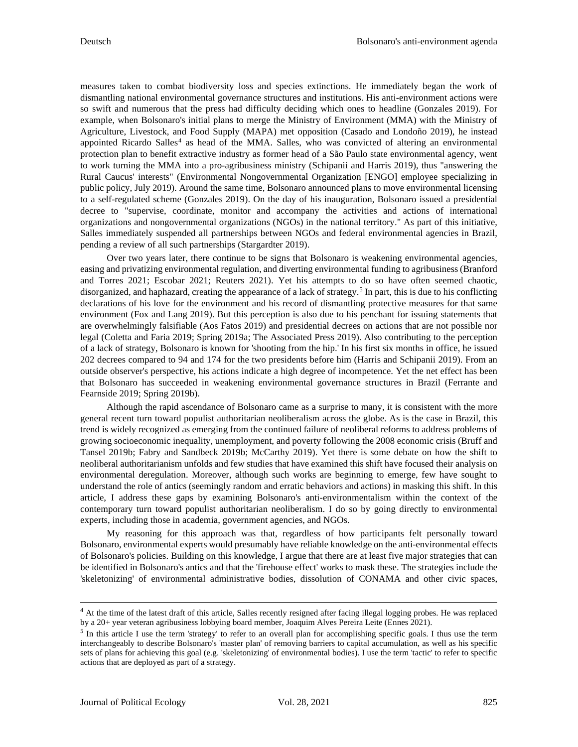measures taken to combat biodiversity loss and species extinctions. He immediately began the work of dismantling national environmental governance structures and institutions. His anti-environment actions were so swift and numerous that the press had difficulty deciding which ones to headline (Gonzales 2019). For example, when Bolsonaro's initial plans to merge the Ministry of Environment (MMA) with the Ministry of Agriculture, Livestock, and Food Supply (MAPA) met opposition (Casado and Londoño 2019), he instead appointed Ricardo Salles<sup>[4](#page-2-0)</sup> as head of the MMA. Salles, who was convicted of altering an environmental protection plan to benefit extractive industry as former head of a São Paulo state environmental agency, went to work turning the MMA into a pro-agribusiness ministry (Schipanii and Harris 2019), thus "answering the Rural Caucus' interests" (Environmental Nongovernmental Organization [ENGO] employee specializing in public policy, July 2019). Around the same time, Bolsonaro announced plans to move environmental licensing to a self-regulated scheme (Gonzales 2019). On the day of his inauguration, Bolsonaro issued a presidential decree to "supervise, coordinate, monitor and accompany the activities and actions of international organizations and nongovernmental organizations (NGOs) in the national territory." As part of this initiative, Salles immediately suspended all partnerships between NGOs and federal environmental agencies in Brazil, pending a review of all such partnerships (Stargardter 2019).

Over two years later, there continue to be signs that Bolsonaro is weakening environmental agencies, easing and privatizing environmental regulation, and diverting environmental funding to agribusiness (Branford and Torres 2021; Escobar 2021; Reuters 2021). Yet his attempts to do so have often seemed chaotic, disorganized, and haphazard, creating the appearance of a lack of strategy. [5](#page-2-1) In part, this is due to his conflicting declarations of his love for the environment and his record of dismantling protective measures for that same environment (Fox and Lang 2019). But this perception is also due to his penchant for issuing statements that are overwhelmingly falsifiable (Aos Fatos 2019) and presidential decrees on actions that are not possible nor legal (Coletta and Faria 2019; Spring 2019a; The Associated Press 2019). Also contributing to the perception of a lack of strategy, Bolsonaro is known for 'shooting from the hip.' In his first six months in office, he issued 202 decrees compared to 94 and 174 for the two presidents before him (Harris and Schipanii 2019). From an outside observer's perspective, his actions indicate a high degree of incompetence. Yet the net effect has been that Bolsonaro has succeeded in weakening environmental governance structures in Brazil (Ferrante and Fearnside 2019; Spring 2019b).

Although the rapid ascendance of Bolsonaro came as a surprise to many, it is consistent with the more general recent turn toward populist authoritarian neoliberalism across the globe. As is the case in Brazil, this trend is widely recognized as emerging from the continued failure of neoliberal reforms to address problems of growing socioeconomic inequality, unemployment, and poverty following the 2008 economic crisis (Bruff and Tansel 2019b; Fabry and Sandbeck 2019b; McCarthy 2019). Yet there is some debate on how the shift to neoliberal authoritarianism unfolds and few studies that have examined this shift have focused their analysis on environmental deregulation. Moreover, although such works are beginning to emerge, few have sought to understand the role of antics (seemingly random and erratic behaviors and actions) in masking this shift. In this article, I address these gaps by examining Bolsonaro's anti-environmentalism within the context of the contemporary turn toward populist authoritarian neoliberalism. I do so by going directly to environmental experts, including those in academia, government agencies, and NGOs.

My reasoning for this approach was that, regardless of how participants felt personally toward Bolsonaro, environmental experts would presumably have reliable knowledge on the anti-environmental effects of Bolsonaro's policies. Building on this knowledge, I argue that there are at least five major strategies that can be identified in Bolsonaro's antics and that the 'firehouse effect' works to mask these. The strategies include the 'skeletonizing' of environmental administrative bodies, dissolution of CONAMA and other civic spaces,

<span id="page-2-0"></span><sup>&</sup>lt;sup>4</sup> At the time of the latest draft of this article, Salles recently resigned after facing illegal logging probes. He was replaced by a 20+ year veteran agribusiness lobbying board member, Joaquim Alves Pereira Leite (Ennes 2021).

<span id="page-2-1"></span> $<sup>5</sup>$  In this article I use the term 'strategy' to refer to an overall plan for accomplishing specific goals. I thus use the term</sup> interchangeably to describe Bolsonaro's 'master plan' of removing barriers to capital accumulation, as well as his specific sets of plans for achieving this goal (e.g. 'skeletonizing' of environmental bodies). I use the term 'tactic' to refer to specific actions that are deployed as part of a strategy.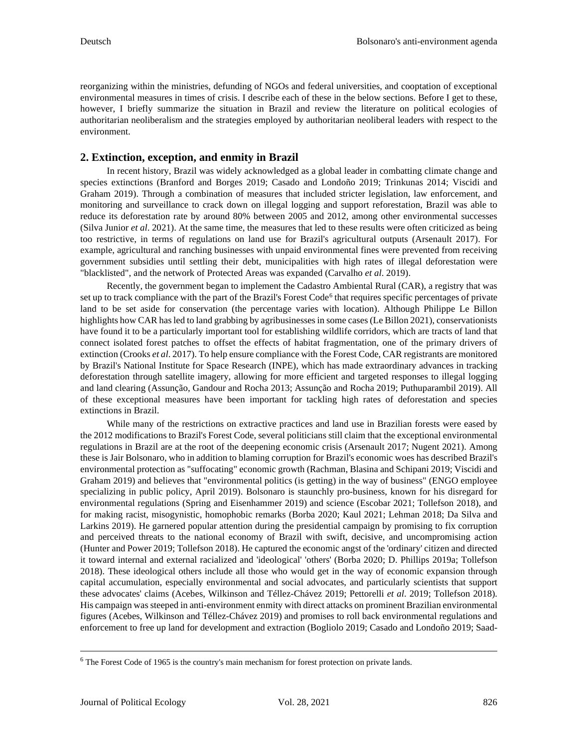reorganizing within the ministries, defunding of NGOs and federal universities, and cooptation of exceptional environmental measures in times of crisis. I describe each of these in the below sections. Before I get to these, however, I briefly summarize the situation in Brazil and review the literature on political ecologies of authoritarian neoliberalism and the strategies employed by authoritarian neoliberal leaders with respect to the environment.

# **2. Extinction, exception, and enmity in Brazil**

In recent history, Brazil was widely acknowledged as a global leader in combatting climate change and species extinctions (Branford and Borges 2019; Casado and Londoño 2019; Trinkunas 2014; Viscidi and Graham 2019). Through a combination of measures that included stricter legislation, law enforcement, and monitoring and surveillance to crack down on illegal logging and support reforestation, Brazil was able to reduce its deforestation rate by around 80% between 2005 and 2012, among other environmental successes (Silva Junior *et al*. 2021). At the same time, the measures that led to these results were often criticized as being too restrictive, in terms of regulations on land use for Brazil's agricultural outputs (Arsenault 2017). For example, agricultural and ranching businesses with unpaid environmental fines were prevented from receiving government subsidies until settling their debt, municipalities with high rates of illegal deforestation were "blacklisted", and the network of Protected Areas was expanded (Carvalho *et al*. 2019).

Recently, the government began to implement the Cadastro Ambiental Rural (CAR), a registry that was set up to track compliance with the part of the Brazil's Forest Code<sup>[6](#page-3-0)</sup> that requires specific percentages of private land to be set aside for conservation (the percentage varies with location). Although Philippe Le Billon highlights how CAR has led to land grabbing by agribusinesses in some cases (Le Billon 2021), conservationists have found it to be a particularly important tool for establishing wildlife corridors, which are tracts of land that connect isolated forest patches to offset the effects of habitat fragmentation, one of the primary drivers of extinction (Crooks *et al*. 2017). To help ensure compliance with the Forest Code, CAR registrants are monitored by Brazil's National Institute for Space Research (INPE), which has made extraordinary advances in tracking deforestation through satellite imagery, allowing for more efficient and targeted responses to illegal logging and land clearing (Assunção, Gandour and Rocha 2013; Assunção and Rocha 2019; Puthuparambil 2019). All of these exceptional measures have been important for tackling high rates of deforestation and species extinctions in Brazil.

While many of the restrictions on extractive practices and land use in Brazilian forests were eased by the 2012 modifications to Brazil's Forest Code, several politicians still claim that the exceptional environmental regulations in Brazil are at the root of the deepening economic crisis (Arsenault 2017; Nugent 2021). Among these is Jair Bolsonaro, who in addition to blaming corruption for Brazil's economic woes has described Brazil's environmental protection as "suffocating" economic growth (Rachman, Blasina and Schipani 2019; Viscidi and Graham 2019) and believes that "environmental politics (is getting) in the way of business" (ENGO employee specializing in public policy, April 2019). Bolsonaro is staunchly pro-business, known for his disregard for environmental regulations (Spring and Eisenhammer 2019) and science (Escobar 2021; Tollefson 2018), and for making racist, misogynistic, homophobic remarks (Borba 2020; Kaul 2021; Lehman 2018; Da Silva and Larkins 2019). He garnered popular attention during the presidential campaign by promising to fix corruption and perceived threats to the national economy of Brazil with swift, decisive, and uncompromising action (Hunter and Power 2019; Tollefson 2018). He captured the economic angst of the 'ordinary' citizen and directed it toward internal and external racialized and 'ideological' 'others' (Borba 2020; D. Phillips 2019a; Tollefson 2018). These ideological others include all those who would get in the way of economic expansion through capital accumulation, especially environmental and social advocates, and particularly scientists that support these advocates' claims (Acebes, Wilkinson and Téllez-Chávez 2019; Pettorelli *et al*. 2019; Tollefson 2018). His campaign was steeped in anti-environment enmity with direct attacks on prominent Brazilian environmental figures (Acebes, Wilkinson and Téllez-Chávez 2019) and promises to roll back environmental regulations and enforcement to free up land for development and extraction (Bogliolo 2019; Casado and Londoño 2019; Saad-

<span id="page-3-0"></span><sup>&</sup>lt;sup>6</sup> The Forest Code of 1965 is the country's main mechanism for forest protection on private lands.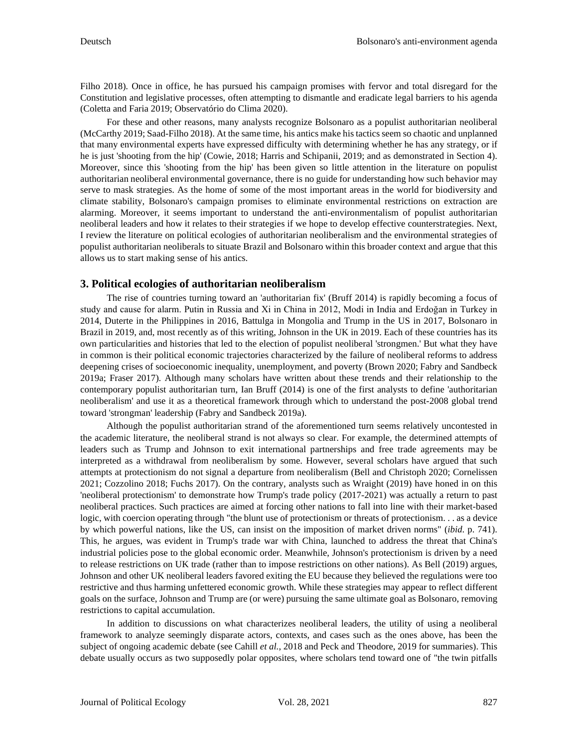Filho 2018). Once in office, he has pursued his campaign promises with fervor and total disregard for the Constitution and legislative processes, often attempting to dismantle and eradicate legal barriers to his agenda (Coletta and Faria 2019; Observatório do Clima 2020).

For these and other reasons, many analysts recognize Bolsonaro as a populist authoritarian neoliberal (McCarthy 2019; Saad-Filho 2018). At the same time, his antics make his tactics seem so chaotic and unplanned that many environmental experts have expressed difficulty with determining whether he has any strategy, or if he is just 'shooting from the hip' (Cowie, 2018; Harris and Schipanii, 2019; and as demonstrated in Section 4). Moreover, since this 'shooting from the hip' has been given so little attention in the literature on populist authoritarian neoliberal environmental governance, there is no guide for understanding how such behavior may serve to mask strategies. As the home of some of the most important areas in the world for biodiversity and climate stability, Bolsonaro's campaign promises to eliminate environmental restrictions on extraction are alarming. Moreover, it seems important to understand the anti-environmentalism of populist authoritarian neoliberal leaders and how it relates to their strategies if we hope to develop effective counterstrategies. Next, I review the literature on political ecologies of authoritarian neoliberalism and the environmental strategies of populist authoritarian neoliberals to situate Brazil and Bolsonaro within this broader context and argue that this allows us to start making sense of his antics.

### **3. Political ecologies of authoritarian neoliberalism**

The rise of countries turning toward an 'authoritarian fix' (Bruff 2014) is rapidly becoming a focus of study and cause for alarm. Putin in Russia and Xi in China in 2012, Modi in India and Erdoğan in Turkey in 2014, Duterte in the Philippines in 2016, Battulga in Mongolia and Trump in the US in 2017, Bolsonaro in Brazil in 2019, and, most recently as of this writing, Johnson in the UK in 2019. Each of these countries has its own particularities and histories that led to the election of populist neoliberal 'strongmen.' But what they have in common is their political economic trajectories characterized by the failure of neoliberal reforms to address deepening crises of socioeconomic inequality, unemployment, and poverty (Brown 2020; Fabry and Sandbeck 2019a; Fraser 2017). Although many scholars have written about these trends and their relationship to the contemporary populist authoritarian turn, Ian Bruff (2014) is one of the first analysts to define 'authoritarian neoliberalism' and use it as a theoretical framework through which to understand the post-2008 global trend toward 'strongman' leadership (Fabry and Sandbeck 2019a).

Although the populist authoritarian strand of the aforementioned turn seems relatively uncontested in the academic literature, the neoliberal strand is not always so clear. For example, the determined attempts of leaders such as Trump and Johnson to exit international partnerships and free trade agreements may be interpreted as a withdrawal from neoliberalism by some. However, several scholars have argued that such attempts at protectionism do not signal a departure from neoliberalism (Bell and Christoph 2020; Cornelissen 2021; Cozzolino 2018; Fuchs 2017). On the contrary, analysts such as Wraight (2019) have honed in on this 'neoliberal protectionism' to demonstrate how Trump's trade policy (2017-2021) was actually a return to past neoliberal practices. Such practices are aimed at forcing other nations to fall into line with their market-based logic, with coercion operating through "the blunt use of protectionism or threats of protectionism. . . as a device by which powerful nations, like the US, can insist on the imposition of market driven norms" (*ibid*. p. 741). This, he argues, was evident in Trump's trade war with China, launched to address the threat that China's industrial policies pose to the global economic order. Meanwhile, Johnson's protectionism is driven by a need to release restrictions on UK trade (rather than to impose restrictions on other nations). As Bell (2019) argues, Johnson and other UK neoliberal leaders favored exiting the EU because they believed the regulations were too restrictive and thus harming unfettered economic growth. While these strategies may appear to reflect different goals on the surface, Johnson and Trump are (or were) pursuing the same ultimate goal as Bolsonaro, removing restrictions to capital accumulation.

In addition to discussions on what characterizes neoliberal leaders, the utility of using a neoliberal framework to analyze seemingly disparate actors, contexts, and cases such as the ones above, has been the subject of ongoing academic debate (see Cahill *et al.*, 2018 and Peck and Theodore, 2019 for summaries). This debate usually occurs as two supposedly polar opposites, where scholars tend toward one of "the twin pitfalls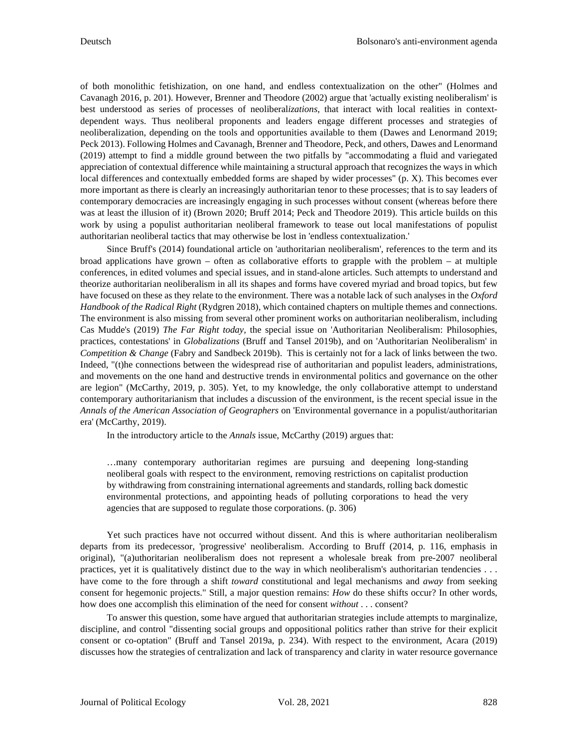of both monolithic fetishization, on one hand, and endless contextualization on the other" (Holmes and Cavanagh 2016, p. 201). However, Brenner and Theodore (2002) argue that 'actually existing neoliberalism' is best understood as series of processes of neoliberal*izations*, that interact with local realities in contextdependent ways. Thus neoliberal proponents and leaders engage different processes and strategies of neoliberalization, depending on the tools and opportunities available to them (Dawes and Lenormand 2019; Peck 2013). Following Holmes and Cavanagh, Brenner and Theodore, Peck, and others, Dawes and Lenormand (2019) attempt to find a middle ground between the two pitfalls by "accommodating a fluid and variegated appreciation of contextual difference while maintaining a structural approach that recognizes the ways in which local differences and contextually embedded forms are shaped by wider processes" (p. X). This becomes ever more important as there is clearly an increasingly authoritarian tenor to these processes; that is to say leaders of contemporary democracies are increasingly engaging in such processes without consent (whereas before there was at least the illusion of it) (Brown 2020; Bruff 2014; Peck and Theodore 2019). This article builds on this work by using a populist authoritarian neoliberal framework to tease out local manifestations of populist authoritarian neoliberal tactics that may otherwise be lost in 'endless contextualization.'

Since Bruff's (2014) foundational article on 'authoritarian neoliberalism', references to the term and its broad applications have grown – often as collaborative efforts to grapple with the problem – at multiple conferences, in edited volumes and special issues, and in stand-alone articles. Such attempts to understand and theorize authoritarian neoliberalism in all its shapes and forms have covered myriad and broad topics, but few have focused on these as they relate to the environment. There was a notable lack of such analyses in the *Oxford Handbook of the Radical Right* (Rydgren 2018), which contained chapters on multiple themes and connections. The environment is also missing from several other prominent works on authoritarian neoliberalism, including Cas Mudde's (2019) *The Far Right today,* the special issue on 'Authoritarian Neoliberalism: Philosophies, practices, contestations' in *Globalizations* (Bruff and Tansel 2019b), and on 'Authoritarian Neoliberalism' in *Competition & Change* (Fabry and Sandbeck 2019b). This is certainly not for a lack of links between the two. Indeed, "(t)he connections between the widespread rise of authoritarian and populist leaders, administrations, and movements on the one hand and destructive trends in environmental politics and governance on the other are legion" (McCarthy, 2019, p. 305). Yet, to my knowledge, the only collaborative attempt to understand contemporary authoritarianism that includes a discussion of the environment, is the recent special issue in the *Annals of the American Association of Geographers* on 'Environmental governance in a populist/authoritarian era' (McCarthy, 2019).

In the introductory article to the *Annals* issue, McCarthy (2019) argues that:

…many contemporary authoritarian regimes are pursuing and deepening long-standing neoliberal goals with respect to the environment, removing restrictions on capitalist production by withdrawing from constraining international agreements and standards, rolling back domestic environmental protections, and appointing heads of polluting corporations to head the very agencies that are supposed to regulate those corporations. (p. 306)

Yet such practices have not occurred without dissent. And this is where authoritarian neoliberalism departs from its predecessor, 'progressive' neoliberalism. According to Bruff (2014, p. 116, emphasis in original), "(a)uthoritarian neoliberalism does not represent a wholesale break from pre-2007 neoliberal practices, yet it is qualitatively distinct due to the way in which neoliberalism's authoritarian tendencies . . . have come to the fore through a shift *toward* constitutional and legal mechanisms and *away* from seeking consent for hegemonic projects." Still, a major question remains: *How* do these shifts occur? In other words, how does one accomplish this elimination of the need for consent *without* . . . consent?

To answer this question, some have argued that authoritarian strategies include attempts to marginalize, discipline, and control "dissenting social groups and oppositional politics rather than strive for their explicit consent or co-optation" (Bruff and Tansel 2019a, p. 234). With respect to the environment, Acara (2019) discusses how the strategies of centralization and lack of transparency and clarity in water resource governance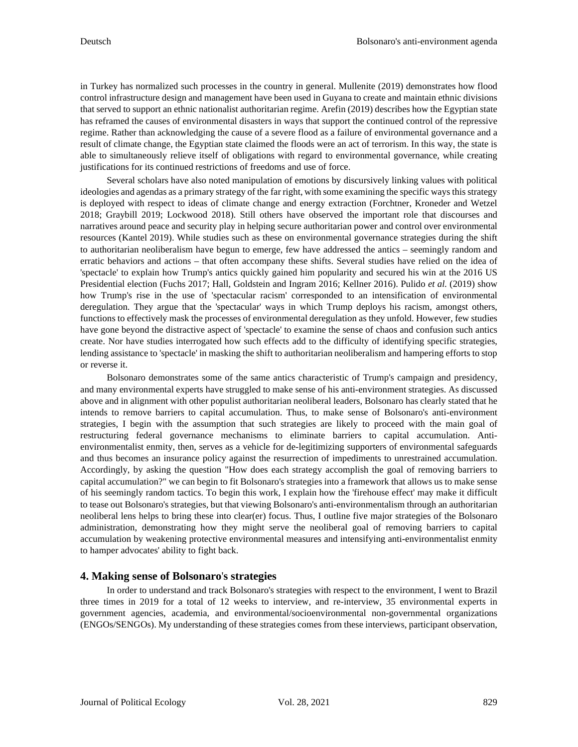in Turkey has normalized such processes in the country in general. Mullenite (2019) demonstrates how flood control infrastructure design and management have been used in Guyana to create and maintain ethnic divisions that served to support an ethnic nationalist authoritarian regime. Arefin (2019) describes how the Egyptian state has reframed the causes of environmental disasters in ways that support the continued control of the repressive regime. Rather than acknowledging the cause of a severe flood as a failure of environmental governance and a result of climate change, the Egyptian state claimed the floods were an act of terrorism. In this way, the state is able to simultaneously relieve itself of obligations with regard to environmental governance, while creating justifications for its continued restrictions of freedoms and use of force.

Several scholars have also noted manipulation of emotions by discursively linking values with political ideologies and agendas as a primary strategy of the far right, with some examining the specific ways this strategy is deployed with respect to ideas of climate change and energy extraction (Forchtner, Kroneder and Wetzel 2018; Graybill 2019; Lockwood 2018). Still others have observed the important role that discourses and narratives around peace and security play in helping secure authoritarian power and control over environmental resources (Kantel 2019). While studies such as these on environmental governance strategies during the shift to authoritarian neoliberalism have begun to emerge, few have addressed the antics – seemingly random and erratic behaviors and actions – that often accompany these shifts. Several studies have relied on the idea of 'spectacle' to explain how Trump's antics quickly gained him popularity and secured his win at the 2016 US Presidential election (Fuchs 2017; Hall, Goldstein and Ingram 2016; Kellner 2016). Pulido *et al.* (2019) show how Trump's rise in the use of 'spectacular racism' corresponded to an intensification of environmental deregulation. They argue that the 'spectacular' ways in which Trump deploys his racism, amongst others, functions to effectively mask the processes of environmental deregulation as they unfold. However, few studies have gone beyond the distractive aspect of 'spectacle' to examine the sense of chaos and confusion such antics create. Nor have studies interrogated how such effects add to the difficulty of identifying specific strategies, lending assistance to 'spectacle' in masking the shift to authoritarian neoliberalism and hampering efforts to stop or reverse it.

Bolsonaro demonstrates some of the same antics characteristic of Trump's campaign and presidency, and many environmental experts have struggled to make sense of his anti-environment strategies. As discussed above and in alignment with other populist authoritarian neoliberal leaders, Bolsonaro has clearly stated that he intends to remove barriers to capital accumulation. Thus, to make sense of Bolsonaro's anti-environment strategies, I begin with the assumption that such strategies are likely to proceed with the main goal of restructuring federal governance mechanisms to eliminate barriers to capital accumulation. Antienvironmentalist enmity, then, serves as a vehicle for de-legitimizing supporters of environmental safeguards and thus becomes an insurance policy against the resurrection of impediments to unrestrained accumulation. Accordingly, by asking the question "How does each strategy accomplish the goal of removing barriers to capital accumulation?" we can begin to fit Bolsonaro's strategies into a framework that allows us to make sense of his seemingly random tactics. To begin this work, I explain how the 'firehouse effect' may make it difficult to tease out Bolsonaro's strategies, but that viewing Bolsonaro's anti-environmentalism through an authoritarian neoliberal lens helps to bring these into clear(er) focus. Thus, I outline five major strategies of the Bolsonaro administration, demonstrating how they might serve the neoliberal goal of removing barriers to capital accumulation by weakening protective environmental measures and intensifying anti-environmentalist enmity to hamper advocates' ability to fight back.

### **4. Making sense of Bolsonaro**'**s strategies**

In order to understand and track Bolsonaro's strategies with respect to the environment, I went to Brazil three times in 2019 for a total of 12 weeks to interview, and re-interview, 35 environmental experts in government agencies, academia, and environmental/socioenvironmental non-governmental organizations (ENGOs/SENGOs). My understanding of these strategies comes from these interviews, participant observation,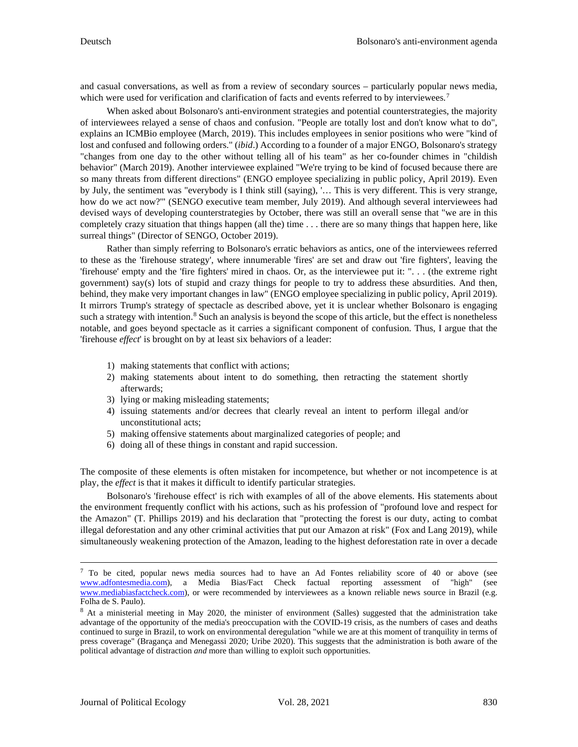and casual conversations, as well as from a review of secondary sources – particularly popular news media, which were used for verification and clarification of facts and events referred to by interviewees.<sup>[7](#page-7-0)</sup>

When asked about Bolsonaro's anti-environment strategies and potential counterstrategies, the majority of interviewees relayed a sense of chaos and confusion. "People are totally lost and don't know what to do", explains an ICMBio employee (March, 2019). This includes employees in senior positions who were "kind of lost and confused and following orders." (*ibid*.) According to a founder of a major ENGO, Bolsonaro's strategy "changes from one day to the other without telling all of his team" as her co-founder chimes in "childish behavior" (March 2019). Another interviewee explained "We're trying to be kind of focused because there are so many threats from different directions" (ENGO employee specializing in public policy, April 2019). Even by July, the sentiment was "everybody is I think still (saying), '… This is very different. This is very strange, how do we act now?" (SENGO executive team member, July 2019). And although several interviewees had devised ways of developing counterstrategies by October, there was still an overall sense that "we are in this completely crazy situation that things happen (all the) time . . . there are so many things that happen here, like surreal things" (Director of SENGO, October 2019).

Rather than simply referring to Bolsonaro's erratic behaviors as antics, one of the interviewees referred to these as the 'firehouse strategy', where innumerable 'fires' are set and draw out 'fire fighters', leaving the 'firehouse' empty and the 'fire fighters' mired in chaos. Or, as the interviewee put it: ". . . (the extreme right government) say(s) lots of stupid and crazy things for people to try to address these absurdities. And then, behind, they make very important changes in law" (ENGO employee specializing in public policy, April 2019). It mirrors Trump's strategy of spectacle as described above, yet it is unclear whether Bolsonaro is engaging such a strategy with intention.<sup>[8](#page-7-1)</sup> Such an analysis is beyond the scope of this article, but the effect is nonetheless notable, and goes beyond spectacle as it carries a significant component of confusion. Thus, I argue that the 'firehouse *effect*' is brought on by at least six behaviors of a leader:

- 1) making statements that conflict with actions;
- 2) making statements about intent to do something, then retracting the statement shortly afterwards;
- 3) lying or making misleading statements;
- 4) issuing statements and/or decrees that clearly reveal an intent to perform illegal and/or unconstitutional acts;
- 5) making offensive statements about marginalized categories of people; and
- 6) doing all of these things in constant and rapid succession.

The composite of these elements is often mistaken for incompetence, but whether or not incompetence is at play, the *effect* is that it makes it difficult to identify particular strategies.

Bolsonaro's 'firehouse effect' is rich with examples of all of the above elements. His statements about the environment frequently conflict with his actions, such as his profession of "profound love and respect for the Amazon" (T. Phillips 2019) and his declaration that "protecting the forest is our duty, acting to combat illegal deforestation and any other criminal activities that put our Amazon at risk" (Fox and Lang 2019), while simultaneously weakening protection of the Amazon, leading to the highest deforestation rate in over a decade

<span id="page-7-0"></span> $7$  To be cited, popular news media sources had to have an Ad Fontes reliability score of 40 or above (see [www.adfontesmedia.com\)](http://www.adfontesmedia.com/), a Media Bias/Fact Check factual reporting assessment of "high" (see www.mediabiasfactcheck.com), or were recommended by interviewees as a known reliable news source in Brazil (e.g.

<span id="page-7-1"></span>Folha de S. Paulo).<br><sup>8</sup> At a ministerial meeting in May 2020, the minister of environment (Salles) suggested that the administration take advantage of the opportunity of the media's preoccupation with the COVID-19 crisis, as the numbers of cases and deaths continued to surge in Brazil, to work on environmental deregulation "while we are at this moment of tranquility in terms of press coverage" (Bragança and Menegassi 2020; Uribe 2020). This suggests that the administration is both aware of the political advantage of distraction *and* more than willing to exploit such opportunities.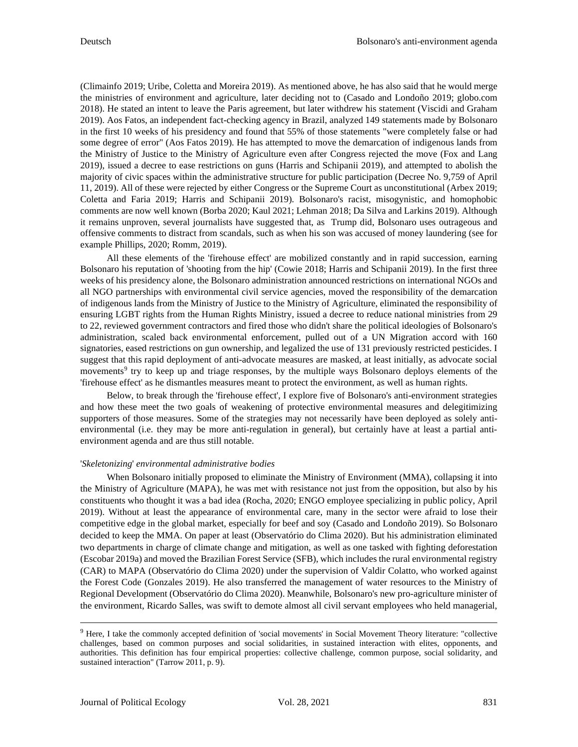(Climainfo 2019; Uribe, Coletta and Moreira 2019). As mentioned above, he has also said that he would merge the ministries of environment and agriculture, later deciding not to (Casado and Londoño 2019; globo.com 2018). He stated an intent to leave the Paris agreement, but later withdrew his statement (Viscidi and Graham 2019). Aos Fatos, an independent fact-checking agency in Brazil, analyzed 149 statements made by Bolsonaro in the first 10 weeks of his presidency and found that 55% of those statements "were completely false or had some degree of error" (Aos Fatos 2019). He has attempted to move the demarcation of indigenous lands from the Ministry of Justice to the Ministry of Agriculture even after Congress rejected the move (Fox and Lang 2019), issued a decree to ease restrictions on guns (Harris and Schipanii 2019), and attempted to abolish the majority of civic spaces within the administrative structure for public participation (Decree No. 9,759 of April 11, 2019). All of these were rejected by either Congress or the Supreme Court as unconstitutional (Arbex 2019; Coletta and Faria 2019; Harris and Schipanii 2019). Bolsonaro's racist, misogynistic, and homophobic comments are now well known (Borba 2020; Kaul 2021; Lehman 2018; Da Silva and Larkins 2019). Although it remains unproven, several journalists have suggested that, as Trump did, Bolsonaro uses outrageous and offensive comments to distract from scandals, such as when his son was accused of money laundering (see for example Phillips, 2020; Romm, 2019).

All these elements of the 'firehouse effect' are mobilized constantly and in rapid succession, earning Bolsonaro his reputation of 'shooting from the hip' (Cowie 2018; Harris and Schipanii 2019). In the first three weeks of his presidency alone, the Bolsonaro administration announced restrictions on international NGOs and all NGO partnerships with environmental civil service agencies, moved the responsibility of the demarcation of indigenous lands from the Ministry of Justice to the Ministry of Agriculture, eliminated the responsibility of ensuring LGBT rights from the Human Rights Ministry, issued a decree to reduce national ministries from 29 to 22, reviewed government contractors and fired those who didn't share the political ideologies of Bolsonaro's administration, scaled back environmental enforcement, pulled out of a UN Migration accord with 160 signatories, eased restrictions on gun ownership, and legalized the use of 131 previously restricted pesticides. I suggest that this rapid deployment of anti-advocate measures are masked, at least initially, as advocate social movements<sup>[9](#page-8-0)</sup> try to keep up and triage responses, by the multiple ways Bolsonaro deploys elements of the 'firehouse effect' as he dismantles measures meant to protect the environment, as well as human rights.

Below, to break through the 'firehouse effect', I explore five of Bolsonaro's anti-environment strategies and how these meet the two goals of weakening of protective environmental measures and delegitimizing supporters of those measures. Some of the strategies may not necessarily have been deployed as solely antienvironmental (i.e. they may be more anti-regulation in general), but certainly have at least a partial antienvironment agenda and are thus still notable.

### '*Skeletonizing*' *environmental administrative bodies*

When Bolsonaro initially proposed to eliminate the Ministry of Environment (MMA), collapsing it into the Ministry of Agriculture (MAPA), he was met with resistance not just from the opposition, but also by his constituents who thought it was a bad idea (Rocha, 2020; ENGO employee specializing in public policy, April 2019). Without at least the appearance of environmental care, many in the sector were afraid to lose their competitive edge in the global market, especially for beef and soy (Casado and Londoño 2019). So Bolsonaro decided to keep the MMA. On paper at least (Observatório do Clima 2020). But his administration eliminated two departments in charge of climate change and mitigation, as well as one tasked with fighting deforestation (Escobar 2019a) and moved the Brazilian Forest Service (SFB), which includes the rural environmental registry (CAR) to MAPA (Observatório do Clima 2020) under the supervision of Valdir Colatto, who worked against the Forest Code (Gonzales 2019). He also transferred the management of water resources to the Ministry of Regional Development (Observatório do Clima 2020). Meanwhile, Bolsonaro's new pro-agriculture minister of the environment, Ricardo Salles, was swift to demote almost all civil servant employees who held managerial,

<span id="page-8-0"></span><sup>&</sup>lt;sup>9</sup> Here, I take the commonly accepted definition of 'social movements' in Social Movement Theory literature: "collective challenges, based on common purposes and social solidarities, in sustained interaction with elites, opponents, and authorities. This definition has four empirical properties: collective challenge, common purpose, social solidarity, and sustained interaction" (Tarrow 2011, p. 9).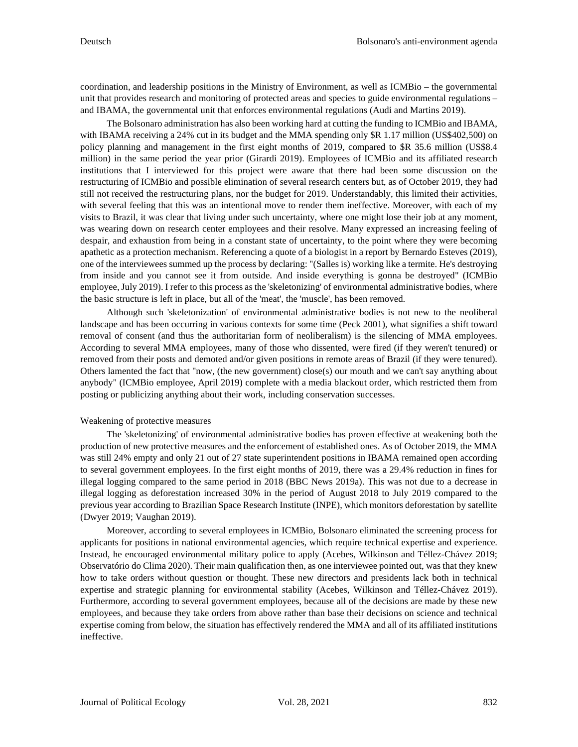coordination, and leadership positions in the Ministry of Environment, as well as ICMBio – the governmental unit that provides research and monitoring of protected areas and species to guide environmental regulations – and IBAMA, the governmental unit that enforces environmental regulations (Audi and Martins 2019).

The Bolsonaro administration has also been working hard at cutting the funding to ICMBio and IBAMA, with IBAMA receiving a 24% cut in its budget and the MMA spending only \$R 1.17 million (US\$402,500) on policy planning and management in the first eight months of 2019, compared to \$R 35.6 million (US\$8.4 million) in the same period the year prior (Girardi 2019). Employees of ICMBio and its affiliated research institutions that I interviewed for this project were aware that there had been some discussion on the restructuring of ICMBio and possible elimination of several research centers but, as of October 2019, they had still not received the restructuring plans, nor the budget for 2019. Understandably, this limited their activities, with several feeling that this was an intentional move to render them ineffective. Moreover, with each of my visits to Brazil, it was clear that living under such uncertainty, where one might lose their job at any moment, was wearing down on research center employees and their resolve. Many expressed an increasing feeling of despair, and exhaustion from being in a constant state of uncertainty, to the point where they were becoming apathetic as a protection mechanism. Referencing a quote of a biologist in a report by Bernardo Esteves (2019), one of the interviewees summed up the process by declaring: "(Salles is) working like a termite. He's destroying from inside and you cannot see it from outside. And inside everything is gonna be destroyed" (ICMBio employee, July 2019). I refer to this process as the 'skeletonizing' of environmental administrative bodies, where the basic structure is left in place, but all of the 'meat', the 'muscle', has been removed.

Although such 'skeletonization' of environmental administrative bodies is not new to the neoliberal landscape and has been occurring in various contexts for some time (Peck 2001), what signifies a shift toward removal of consent (and thus the authoritarian form of neoliberalism) is the silencing of MMA employees. According to several MMA employees, many of those who dissented, were fired (if they weren't tenured) or removed from their posts and demoted and/or given positions in remote areas of Brazil (if they were tenured). Others lamented the fact that "now, (the new government) close(s) our mouth and we can't say anything about anybody" (ICMBio employee, April 2019) complete with a media blackout order, which restricted them from posting or publicizing anything about their work, including conservation successes.

### Weakening of protective measures

The 'skeletonizing' of environmental administrative bodies has proven effective at weakening both the production of new protective measures and the enforcement of established ones. As of October 2019, the MMA was still 24% empty and only 21 out of 27 state superintendent positions in IBAMA remained open according to several government employees. In the first eight months of 2019, there was a 29.4% reduction in fines for illegal logging compared to the same period in 2018 (BBC News 2019a). This was not due to a decrease in illegal logging as deforestation increased 30% in the period of August 2018 to July 2019 compared to the previous year according to Brazilian Space Research Institute (INPE), which monitors deforestation by satellite (Dwyer 2019; Vaughan 2019).

Moreover, according to several employees in ICMBio, Bolsonaro eliminated the screening process for applicants for positions in national environmental agencies, which require technical expertise and experience. Instead, he encouraged environmental military police to apply (Acebes, Wilkinson and Téllez-Chávez 2019; Observatório do Clima 2020). Their main qualification then, as one interviewee pointed out, was that they knew how to take orders without question or thought. These new directors and presidents lack both in technical expertise and strategic planning for environmental stability (Acebes, Wilkinson and Téllez-Chávez 2019). Furthermore, according to several government employees, because all of the decisions are made by these new employees, and because they take orders from above rather than base their decisions on science and technical expertise coming from below, the situation has effectively rendered the MMA and all of its affiliated institutions ineffective.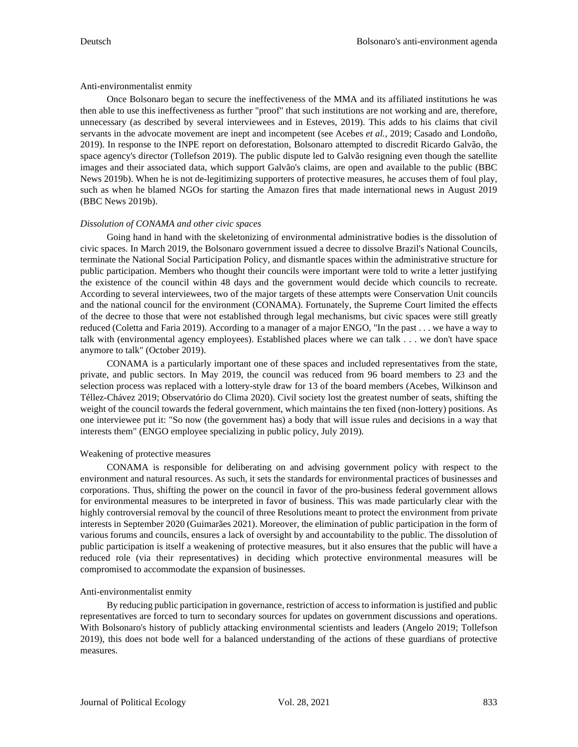### Anti-environmentalist enmity

Once Bolsonaro began to secure the ineffectiveness of the MMA and its affiliated institutions he was then able to use this ineffectiveness as further "proof" that such institutions are not working and are, therefore, unnecessary (as described by several interviewees and in Esteves, 2019). This adds to his claims that civil servants in the advocate movement are inept and incompetent (see Acebes *et al.*, 2019; Casado and Londoño, 2019). In response to the INPE report on deforestation, Bolsonaro attempted to discredit Ricardo Galvão, the space agency's director (Tollefson 2019). The public dispute led to Galvão resigning even though the satellite images and their associated data, which support Galvão's claims, are open and available to the public (BBC News 2019b). When he is not de-legitimizing supporters of protective measures, he accuses them of foul play, such as when he blamed NGOs for starting the Amazon fires that made international news in August 2019 (BBC News 2019b).

## *Dissolution of CONAMA and other civic spaces*

Going hand in hand with the skeletonizing of environmental administrative bodies is the dissolution of civic spaces. In March 2019, the Bolsonaro government issued a decree to dissolve Brazil's National Councils, terminate the National Social Participation Policy, and dismantle spaces within the administrative structure for public participation. Members who thought their councils were important were told to write a letter justifying the existence of the council within 48 days and the government would decide which councils to recreate. According to several interviewees, two of the major targets of these attempts were Conservation Unit councils and the national council for the environment (CONAMA). Fortunately, the Supreme Court limited the effects of the decree to those that were not established through legal mechanisms, but civic spaces were still greatly reduced (Coletta and Faria 2019). According to a manager of a major ENGO, "In the past . . . we have a way to talk with (environmental agency employees). Established places where we can talk . . . we don't have space anymore to talk" (October 2019).

CONAMA is a particularly important one of these spaces and included representatives from the state, private, and public sectors. In May 2019, the council was reduced from 96 board members to 23 and the selection process was replaced with a lottery-style draw for 13 of the board members (Acebes, Wilkinson and Téllez-Chávez 2019; Observatório do Clima 2020). Civil society lost the greatest number of seats, shifting the weight of the council towards the federal government, which maintains the ten fixed (non-lottery) positions. As one interviewee put it: "So now (the government has) a body that will issue rules and decisions in a way that interests them" (ENGO employee specializing in public policy, July 2019).

# Weakening of protective measures

CONAMA is responsible for deliberating on and advising government policy with respect to the environment and natural resources. As such, it sets the standards for environmental practices of businesses and corporations. Thus, shifting the power on the council in favor of the pro-business federal government allows for environmental measures to be interpreted in favor of business. This was made particularly clear with the highly controversial removal by the council of three Resolutions meant to protect the environment from private interests in September 2020 (Guimarães 2021). Moreover, the elimination of public participation in the form of various forums and councils, ensures a lack of oversight by and accountability to the public. The dissolution of public participation is itself a weakening of protective measures, but it also ensures that the public will have a reduced role (via their representatives) in deciding which protective environmental measures will be compromised to accommodate the expansion of businesses.

# Anti-environmentalist enmity

By reducing public participation in governance, restriction of access to information is justified and public representatives are forced to turn to secondary sources for updates on government discussions and operations. With Bolsonaro's history of publicly attacking environmental scientists and leaders (Angelo 2019; Tollefson 2019), this does not bode well for a balanced understanding of the actions of these guardians of protective measures.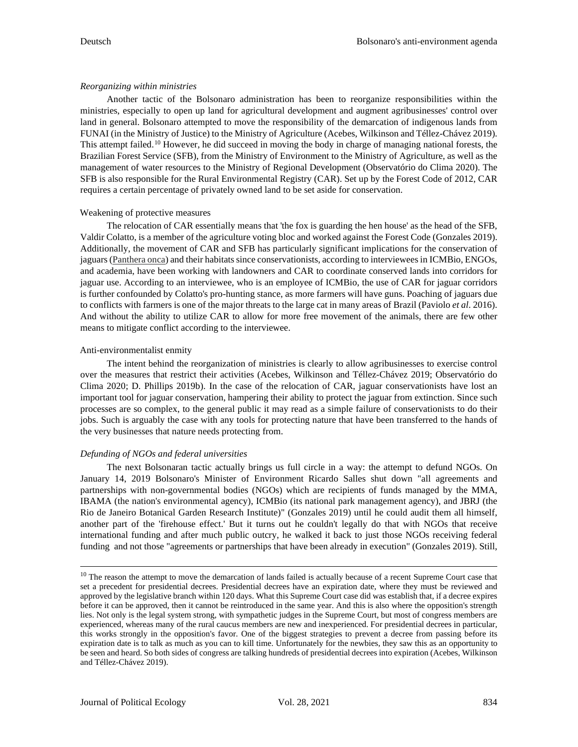### *Reorganizing within ministries*

Another tactic of the Bolsonaro administration has been to reorganize responsibilities within the ministries, especially to open up land for agricultural development and augment agribusinesses' control over land in general. Bolsonaro attempted to move the responsibility of the demarcation of indigenous lands from FUNAI (in the Ministry of Justice) to the Ministry of Agriculture (Acebes, Wilkinson and Téllez-Chávez 2019). This attempt failed.<sup>[10](#page-11-0)</sup> However, he did succeed in moving the body in charge of managing national forests, the Brazilian Forest Service (SFB), from the Ministry of Environment to the Ministry of Agriculture, as well as the management of water resources to the Ministry of Regional Development (Observatório do Clima 2020). The SFB is also responsible for the Rural Environmental Registry (CAR). Set up by the Forest Code of 2012, CAR requires a certain percentage of privately owned land to be set aside for conservation.

### Weakening of protective measures

The relocation of CAR essentially means that 'the fox is guarding the hen house' as the head of the SFB, Valdir Colatto, is a member of the agriculture voting bloc and worked against the Forest Code (Gonzales 2019). Additionally, the movement of CAR and SFB has particularly significant implications for the conservation of jaguars (Panthera onca) and their habitats since conservationists, according to interviewees in ICMBio, ENGOs, and academia, have been working with landowners and CAR to coordinate conserved lands into corridors for jaguar use. According to an interviewee, who is an employee of ICMBio, the use of CAR for jaguar corridors is further confounded by Colatto's pro-hunting stance, as more farmers will have guns. Poaching of jaguars due to conflicts with farmers is one of the major threats to the large cat in many areas of Brazil (Paviolo *et al*. 2016). And without the ability to utilize CAR to allow for more free movement of the animals, there are few other means to mitigate conflict according to the interviewee.

### Anti-environmentalist enmity

The intent behind the reorganization of ministries is clearly to allow agribusinesses to exercise control over the measures that restrict their activities (Acebes, Wilkinson and Téllez-Chávez 2019; Observatório do Clima 2020; D. Phillips 2019b). In the case of the relocation of CAR, jaguar conservationists have lost an important tool for jaguar conservation, hampering their ability to protect the jaguar from extinction. Since such processes are so complex, to the general public it may read as a simple failure of conservationists to do their jobs. Such is arguably the case with any tools for protecting nature that have been transferred to the hands of the very businesses that nature needs protecting from.

### *Defunding of NGOs and federal universities*

The next Bolsonaran tactic actually brings us full circle in a way: the attempt to defund NGOs. On January 14, 2019 Bolsonaro's Minister of Environment Ricardo Salles shut down "all agreements and partnerships with non-governmental bodies (NGOs) which are recipients of funds managed by the MMA, IBAMA (the nation's environmental agency), ICMBio (its national park management agency), and JBRJ (the Rio de Janeiro Botanical Garden Research Institute)" (Gonzales 2019) until he could audit them all himself, another part of the 'firehouse effect.' But it turns out he couldn't legally do that with NGOs that receive international funding and after much public outcry, he walked it back to just those NGOs receiving federal funding and not those "agreements or partnerships that have been already in execution" (Gonzales 2019). Still,

<span id="page-11-0"></span><sup>&</sup>lt;sup>10</sup> The reason the attempt to move the demarcation of lands failed is actually because of a recent Supreme Court case that set a precedent for presidential decrees. Presidential decrees have an expiration date, where they must be reviewed and approved by the legislative branch within 120 days. What this Supreme Court case did was establish that, if a decree expires before it can be approved, then it cannot be reintroduced in the same year. And this is also where the opposition's strength lies. Not only is the legal system strong, with sympathetic judges in the Supreme Court, but most of congress members are experienced, whereas many of the rural caucus members are new and inexperienced. For presidential decrees in particular, this works strongly in the opposition's favor. One of the biggest strategies to prevent a decree from passing before its expiration date is to talk as much as you can to kill time. Unfortunately for the newbies, they saw this as an opportunity to be seen and heard. So both sides of congress are talking hundreds of presidential decrees into expiration (Acebes, Wilkinson and Téllez-Chávez 2019).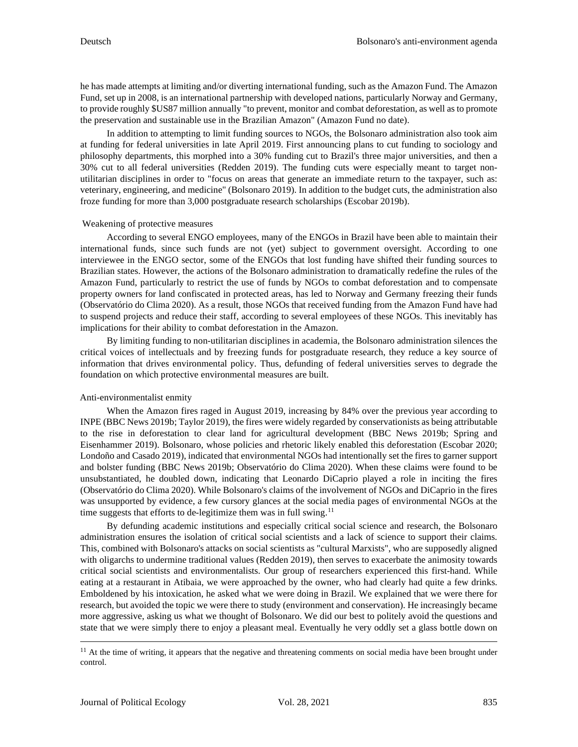he has made attempts at limiting and/or diverting international funding, such as the Amazon Fund. The Amazon Fund, set up in 2008, is an international partnership with developed nations, particularly Norway and Germany, to provide roughly \$US87 million annually "to prevent, monitor and combat deforestation, as well as to promote the preservation and sustainable use in the Brazilian Amazon" (Amazon Fund no date).

In addition to attempting to limit funding sources to NGOs, the Bolsonaro administration also took aim at funding for federal universities in late April 2019. First announcing plans to cut funding to sociology and philosophy departments, this morphed into a 30% funding cut to Brazil's three major universities, and then a 30% cut to all federal universities (Redden 2019). The funding cuts were especially meant to target nonutilitarian disciplines in order to "focus on areas that generate an immediate return to the taxpayer, such as: veterinary, engineering, and medicine" (Bolsonaro 2019). In addition to the budget cuts, the administration also froze funding for more than 3,000 postgraduate research scholarships (Escobar 2019b).

### Weakening of protective measures

According to several ENGO employees, many of the ENGOs in Brazil have been able to maintain their international funds, since such funds are not (yet) subject to government oversight. According to one interviewee in the ENGO sector, some of the ENGOs that lost funding have shifted their funding sources to Brazilian states. However, the actions of the Bolsonaro administration to dramatically redefine the rules of the Amazon Fund, particularly to restrict the use of funds by NGOs to combat deforestation and to compensate property owners for land confiscated in protected areas, has led to Norway and Germany freezing their funds (Observatório do Clima 2020). As a result, those NGOs that received funding from the Amazon Fund have had to suspend projects and reduce their staff, according to several employees of these NGOs. This inevitably has implications for their ability to combat deforestation in the Amazon.

By limiting funding to non-utilitarian disciplines in academia, the Bolsonaro administration silences the critical voices of intellectuals and by freezing funds for postgraduate research, they reduce a key source of information that drives environmental policy. Thus, defunding of federal universities serves to degrade the foundation on which protective environmental measures are built.

### Anti-environmentalist enmity

When the Amazon fires raged in August 2019, increasing by 84% over the previous year according to INPE (BBC News 2019b; Taylor 2019), the fires were widely regarded by conservationists as being attributable to the rise in deforestation to clear land for agricultural development (BBC News 2019b; Spring and Eisenhammer 2019). Bolsonaro, whose policies and rhetoric likely enabled this deforestation (Escobar 2020; Londoño and Casado 2019), indicated that environmental NGOs had intentionally set the fires to garner support and bolster funding (BBC News 2019b; Observatório do Clima 2020). When these claims were found to be unsubstantiated, he doubled down, indicating that Leonardo DiCaprio played a role in inciting the fires (Observatório do Clima 2020). While Bolsonaro's claims of the involvement of NGOs and DiCaprio in the fires was unsupported by evidence, a few cursory glances at the social media pages of environmental NGOs at the time suggests that efforts to de-legitimize them was in full swing.<sup>[11](#page-12-0)</sup>

By defunding academic institutions and especially critical social science and research, the Bolsonaro administration ensures the isolation of critical social scientists and a lack of science to support their claims. This, combined with Bolsonaro's attacks on social scientists as "cultural Marxists", who are supposedly aligned with oligarchs to undermine traditional values (Redden 2019), then serves to exacerbate the animosity towards critical social scientists and environmentalists. Our group of researchers experienced this first-hand. While eating at a restaurant in Atibaia, we were approached by the owner, who had clearly had quite a few drinks. Emboldened by his intoxication, he asked what we were doing in Brazil. We explained that we were there for research, but avoided the topic we were there to study (environment and conservation). He increasingly became more aggressive, asking us what we thought of Bolsonaro. We did our best to politely avoid the questions and state that we were simply there to enjoy a pleasant meal. Eventually he very oddly set a glass bottle down on

<span id="page-12-0"></span> $11$  At the time of writing, it appears that the negative and threatening comments on social media have been brought under control.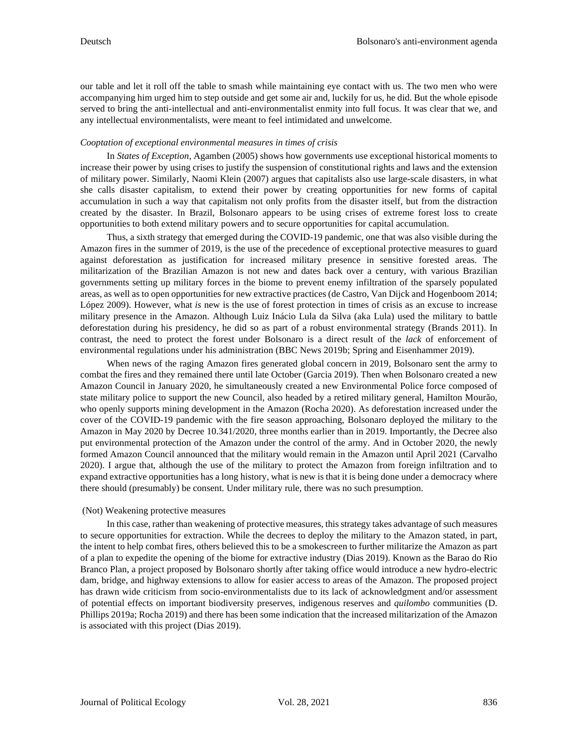our table and let it roll off the table to smash while maintaining eye contact with us. The two men who were accompanying him urged him to step outside and get some air and, luckily for us, he did. But the whole episode served to bring the anti-intellectual and anti-environmentalist enmity into full focus. It was clear that we, and any intellectual environmentalists, were meant to feel intimidated and unwelcome.

### *Cooptation of exceptional environmental measures in times of crisis*

In *States of Exception*, Agamben (2005) shows how governments use exceptional historical moments to increase their power by using crises to justify the suspension of constitutional rights and laws and the extension of military power. Similarly, Naomi Klein (2007) argues that capitalists also use large-scale disasters, in what she calls disaster capitalism, to extend their power by creating opportunities for new forms of capital accumulation in such a way that capitalism not only profits from the disaster itself, but from the distraction created by the disaster. In Brazil, Bolsonaro appears to be using crises of extreme forest loss to create opportunities to both extend military powers and to secure opportunities for capital accumulation.

Thus, a sixth strategy that emerged during the COVID-19 pandemic, one that was also visible during the Amazon fires in the summer of 2019, is the use of the precedence of exceptional protective measures to guard against deforestation as justification for increased military presence in sensitive forested areas. The militarization of the Brazilian Amazon is not new and dates back over a century, with various Brazilian governments setting up military forces in the biome to prevent enemy infiltration of the sparsely populated areas, as well as to open opportunities for new extractive practices (de Castro, Van Dijck and Hogenboom 2014; López 2009). However, what *is* new is the use of forest protection in times of crisis as an excuse to increase military presence in the Amazon. Although Luiz Inácio Lula da Silva (aka Lula) used the military to battle deforestation during his presidency, he did so as part of a robust environmental strategy (Brands 2011). In contrast, the need to protect the forest under Bolsonaro is a direct result of the *lack* of enforcement of environmental regulations under his administration (BBC News 2019b; Spring and Eisenhammer 2019).

When news of the raging Amazon fires generated global concern in 2019, Bolsonaro sent the army to combat the fires and they remained there until late October (Garcia 2019). Then when Bolsonaro created a new Amazon Council in January 2020, he simultaneously created a new Environmental Police force composed of state military police to support the new Council, also headed by a retired military general, Hamilton Mourão, who openly supports mining development in the Amazon (Rocha 2020). As deforestation increased under the cover of the COVID-19 pandemic with the fire season approaching, Bolsonaro deployed the military to the Amazon in May 2020 by Decree 10.341/2020, three months earlier than in 2019. Importantly, the Decree also put environmental protection of the Amazon under the control of the army. And in October 2020, the newly formed Amazon Council announced that the military would remain in the Amazon until April 2021 (Carvalho 2020). I argue that, although the use of the military to protect the Amazon from foreign infiltration and to expand extractive opportunities has a long history, what is new is that it is being done under a democracy where there should (presumably) be consent. Under military rule, there was no such presumption.

#### (Not) Weakening protective measures

In this case, rather than weakening of protective measures, this strategy takes advantage of such measures to secure opportunities for extraction. While the decrees to deploy the military to the Amazon stated, in part, the intent to help combat fires, others believed this to be a smokescreen to further militarize the Amazon as part of a plan to expedite the opening of the biome for extractive industry (Dias 2019). Known as the Barao do Rio Branco Plan, a project proposed by Bolsonaro shortly after taking office would introduce a new hydro-electric dam, bridge, and highway extensions to allow for easier access to areas of the Amazon. The proposed project has drawn wide criticism from socio-environmentalists due to its lack of acknowledgment and/or assessment of potential effects on important biodiversity preserves, indigenous reserves and *quilombo* communities (D. Phillips 2019a; Rocha 2019) and there has been some indication that the increased militarization of the Amazon is associated with this project (Dias 2019).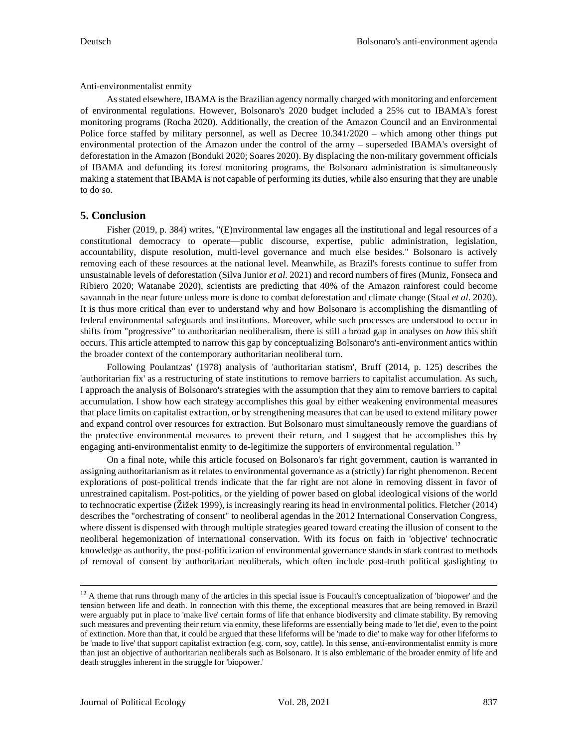Anti-environmentalist enmity

As stated elsewhere, IBAMA is the Brazilian agency normally charged with monitoring and enforcement of environmental regulations. However, Bolsonaro's 2020 budget included a 25% cut to IBAMA's forest monitoring programs (Rocha 2020). Additionally, the creation of the Amazon Council and an Environmental Police force staffed by military personnel, as well as Decree 10.341/2020 – which among other things put environmental protection of the Amazon under the control of the army – superseded IBAMA's oversight of deforestation in the Amazon (Bonduki 2020; Soares 2020). By displacing the non-military government officials of IBAMA and defunding its forest monitoring programs, the Bolsonaro administration is simultaneously making a statement that IBAMA is not capable of performing its duties, while also ensuring that they are unable to do so.

# **5. Conclusion**

Fisher (2019, p. 384) writes, "(E)nvironmental law engages all the institutional and legal resources of a constitutional democracy to operate—public discourse, expertise, public administration, legislation, accountability, dispute resolution, multi-level governance and much else besides." Bolsonaro is actively removing each of these resources at the national level. Meanwhile, as Brazil's forests continue to suffer from unsustainable levels of deforestation (Silva Junior *et al*. 2021) and record numbers of fires (Muniz, Fonseca and Ribiero 2020; Watanabe 2020), scientists are predicting that 40% of the Amazon rainforest could become savannah in the near future unless more is done to combat deforestation and climate change (Staal *et al*. 2020). It is thus more critical than ever to understand why and how Bolsonaro is accomplishing the dismantling of federal environmental safeguards and institutions. Moreover, while such processes are understood to occur in shifts from "progressive" to authoritarian neoliberalism, there is still a broad gap in analyses on *how* this shift occurs. This article attempted to narrow this gap by conceptualizing Bolsonaro's anti-environment antics within the broader context of the contemporary authoritarian neoliberal turn.

Following Poulantzas' (1978) analysis of 'authoritarian statism', Bruff (2014, p. 125) describes the 'authoritarian fix' as a restructuring of state institutions to remove barriers to capitalist accumulation. As such, I approach the analysis of Bolsonaro's strategies with the assumption that they aim to remove barriers to capital accumulation. I show how each strategy accomplishes this goal by either weakening environmental measures that place limits on capitalist extraction, or by strengthening measures that can be used to extend military power and expand control over resources for extraction. But Bolsonaro must simultaneously remove the guardians of the protective environmental measures to prevent their return, and I suggest that he accomplishes this by engaging anti-environmentalist enmity to de-legitimize the supporters of environmental regulation.<sup>[12](#page-14-0)</sup>

On a final note, while this article focused on Bolsonaro's far right government, caution is warranted in assigning authoritarianism as it relates to environmental governance as a (strictly) far right phenomenon. Recent explorations of post-political trends indicate that the far right are not alone in removing dissent in favor of unrestrained capitalism. Post-politics, or the yielding of power based on global ideological visions of the world to technocratic expertise (Žižek 1999), is increasingly rearing its head in environmental politics. Fletcher (2014) describes the "orchestrating of consent" to neoliberal agendas in the 2012 International Conservation Congress, where dissent is dispensed with through multiple strategies geared toward creating the illusion of consent to the neoliberal hegemonization of international conservation. With its focus on faith in 'objective' technocratic knowledge as authority, the post-politicization of environmental governance stands in stark contrast to methods of removal of consent by authoritarian neoliberals, which often include post-truth political gaslighting to

<span id="page-14-0"></span> $12$  A theme that runs through many of the articles in this special issue is Foucault's conceptualization of 'biopower' and the tension between life and death. In connection with this theme, the exceptional measures that are being removed in Brazil were arguably put in place to 'make live' certain forms of life that enhance biodiversity and climate stability. By removing such measures and preventing their return via enmity, these lifeforms are essentially being made to 'let die', even to the point of extinction. More than that, it could be argued that these lifeforms will be 'made to die' to make way for other lifeforms to be 'made to live' that support capitalist extraction (e.g. corn, soy, cattle). In this sense, anti-environmentalist enmity is more than just an objective of authoritarian neoliberals such as Bolsonaro. It is also emblematic of the broader enmity of life and death struggles inherent in the struggle for 'biopower.'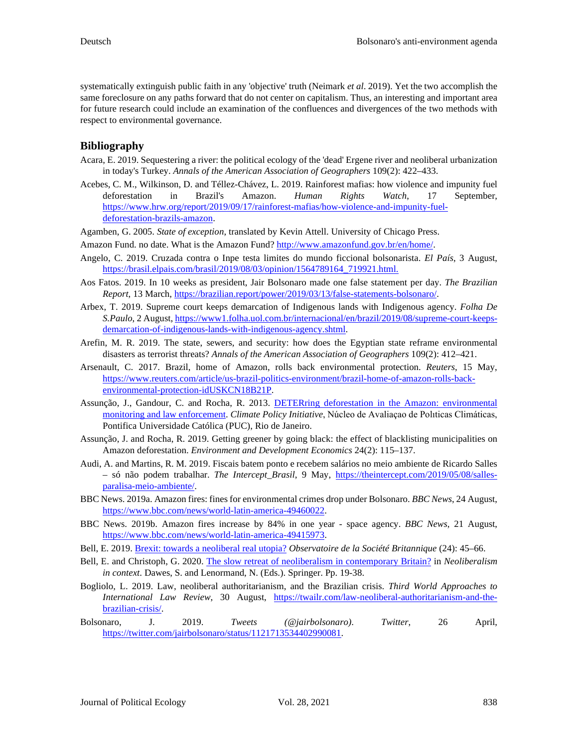systematically extinguish public faith in any 'objective' truth (Neimark *et al*. 2019). Yet the two accomplish the same foreclosure on any paths forward that do not center on capitalism. Thus, an interesting and important area for future research could include an examination of the confluences and divergences of the two methods with respect to environmental governance.

# **Bibliography**

- Acara, E. 2019. Sequestering a river: the political ecology of the 'dead' Ergene river and neoliberal urbanization in today's Turkey. *Annals of the American Association of Geographers* 109(2): 422–433.
- Acebes, C. M., Wilkinson, D. and Téllez-Chávez, L. 2019. Rainforest mafias: how violence and impunity fuel deforestation in Brazil's Amazon. *Human Rights Watch*, 17 September, [https://www.hrw.org/report/2019/09/17/rainforest-mafias/how-violence-and-impunity-fuel](https://www.hrw.org/report/2019/09/17/rainforest-mafias/how-violence-and-impunity-fuel-deforestation-brazils-amazon)[deforestation-brazils-amazon.](https://www.hrw.org/report/2019/09/17/rainforest-mafias/how-violence-and-impunity-fuel-deforestation-brazils-amazon)
- Agamben, G. 2005. *State of exception*, translated by Kevin Attell. University of Chicago Press.
- Amazon Fund. no date. What is the Amazon Fund? [http://www.amazonfund.gov.br/en/home/.](http://www.amazonfund.gov.br/en/home/)
- Angelo, C. 2019. Cruzada contra o Inpe testa limites do mundo ficcional bolsonarista. *El País*, 3 August, [https://brasil.elpais.com/brasil/2019/08/03/opinion/1564789164\\_719921.html.](https://brasil.elpais.com/brasil/2019/08/03/opinion/1564789164_719921.html.)
- Aos Fatos. 2019. In 10 weeks as president, Jair Bolsonaro made one false statement per day. *The Brazilian Report*, 13 March[, https://brazilian.report/power/2019/03/13/false-statements-bolsonaro/.](https://brazilian.report/power/2019/03/13/false-statements-bolsonaro/)
- Arbex, T. 2019. Supreme court keeps demarcation of Indigenous lands with Indigenous agency. *Folha De S.Paulo*, 2 August[, https://www1.folha.uol.com.br/internacional/en/brazil/2019/08/supreme-court-keeps](https://www1.folha.uol.com.br/internacional/en/brazil/2019/08/supreme-court-keeps-demarcation-of-indigenous-lands-with-indigenous-agency.shtml)[demarcation-of-indigenous-lands-with-indigenous-agency.shtml.](https://www1.folha.uol.com.br/internacional/en/brazil/2019/08/supreme-court-keeps-demarcation-of-indigenous-lands-with-indigenous-agency.shtml)
- Arefin, M. R. 2019. The state, sewers, and security: how does the Egyptian state reframe environmental disasters as terrorist threats? *Annals of the American Association of Geographers* 109(2): 412–421.
- Arsenault, C. 2017. Brazil, home of Amazon, rolls back environmental protection. *Reuters*, 15 May, [https://www.reuters.com/article/us-brazil-politics-environment/brazil-home-of-amazon-rolls-back](https://www.reuters.com/article/us-brazil-politics-environment/brazil-home-of-amazon-rolls-back-environmental-protection-idUSKCN18B21P)[environmental-protection-idUSKCN18B21P.](https://www.reuters.com/article/us-brazil-politics-environment/brazil-home-of-amazon-rolls-back-environmental-protection-idUSKCN18B21P)
- Assunção, J., Gandour, C. and Rocha, R. 2013. [DETERring deforestation in the Amazon: environmental](https://climatepolicyinitiative.org/wp-content/uploads/2019/11/Assuncao-Gandour-Rocha-WP2019-DETERring-Deforestation-in-the-Amazon-1.pdf.)  [monitoring and law enforcement.](https://climatepolicyinitiative.org/wp-content/uploads/2019/11/Assuncao-Gandour-Rocha-WP2019-DETERring-Deforestation-in-the-Amazon-1.pdf.) *Climate Policy Initiative*, Núcleo de Avaliaçao de Polıticas Climáticas, Pontifica Universidade Católica (PUC), Rio de Janeiro.
- Assunção, J. and Rocha, R. 2019. Getting greener by going black: the effect of blacklisting municipalities on Amazon deforestation. *Environment and Development Economics* 24(2): 115–137.
- Audi, A. and Martins, R. M. 2019. Fiscais batem ponto e recebem salários no meio ambiente de Ricardo Salles – só não podem trabalhar. *The Intercept\_Brasil*, 9 May, [https://theintercept.com/2019/05/08/salles](https://theintercept.com/2019/05/08/salles-paralisa-meio-ambiente/)[paralisa-meio-ambiente/.](https://theintercept.com/2019/05/08/salles-paralisa-meio-ambiente/)
- BBC News. 2019a. Amazon fires: fines for environmental crimes drop under Bolsonaro. *BBC News*, 24 August, [https://www.bbc.com/news/world-latin-america-49460022.](https://www.bbc.com/news/world-latin-america-49460022)
- BBC News. 2019b. Amazon fires increase by 84% in one year space agency. *BBC News*, 21 August, [https://www.bbc.com/news/world-latin-america-49415973.](https://www.bbc.com/news/world-latin-america-49415973)
- Bell, E. 2019. [Brexit: towards a neoliberal real utopia?](https://doi.org/10.4000/osb.3196) *Observatoire de la Société Britannique* (24): 45–66.
- Bell, E. and Christoph, G. 2020. [The slow retreat of neoliberalism in contemporary Britain?](https://doi.org/10.1007/978-3-030-26017-0_2) in *Neoliberalism in context*. Dawes, S. and Lenormand, N. (Eds.). Springer. Pp. 19-38.
- Bogliolo, L. 2019. Law, neoliberal authoritarianism, and the Brazilian crisis. *Third World Approaches to International Law Review*, 30 August, [https://twailr.com/law-neoliberal-authoritarianism-and-the](https://twailr.com/law-neoliberal-authoritarianism-and-the-brazilian-crisis/)[brazilian-crisis/.](https://twailr.com/law-neoliberal-authoritarianism-and-the-brazilian-crisis/)
- Bolsonaro, J. 2019. *Tweets (@jairbolsonaro)*. *Twitter*, 26 April, [https://twitter.com/jairbolsonaro/status/1121713534402990081.](https://twitter.com/jairbolsonaro/status/1121713534402990081)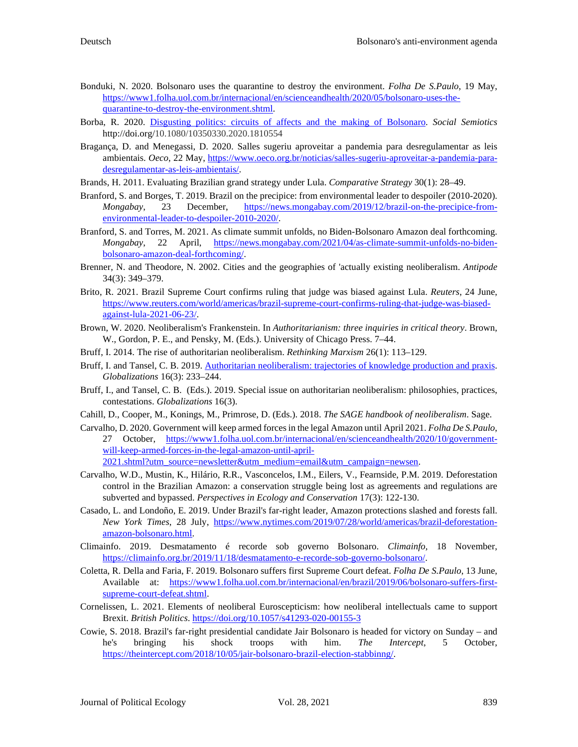- Bonduki, N. 2020. Bolsonaro uses the quarantine to destroy the environment. *Folha De S.Paulo*, 19 May, [https://www1.folha.uol.com.br/internacional/en/scienceandhealth/2020/05/bolsonaro-uses-the](https://www1.folha.uol.com.br/internacional/en/scienceandhealth/2020/05/bolsonaro-uses-the-quarantine-to-destroy-the-environment.shtml)[quarantine-to-destroy-the-environment.shtml.](https://www1.folha.uol.com.br/internacional/en/scienceandhealth/2020/05/bolsonaro-uses-the-quarantine-to-destroy-the-environment.shtml)
- Borba, R. 2020. [Disgusting politics: circuits of affects and the making of Bolsonaro.](https://doi.org/10.1080/10350330.2020.1810554) *Social Semiotics* http://doi.org[/10.1080/10350330.2020.1810554](https://doi.org/10.1080/10350330.2020.1810554)
- Bragança, D. and Menegassi, D. 2020. Salles sugeriu aproveitar a pandemia para desregulamentar as leis ambientais. *Oeco*, 22 May, [https://www.oeco.org.br/noticias/salles-sugeriu-aproveitar-a-pandemia-para](https://www.oeco.org.br/noticias/salles-sugeriu-aproveitar-a-pandemia-para-desregulamentar-as-leis-ambientais/)[desregulamentar-as-leis-ambientais/.](https://www.oeco.org.br/noticias/salles-sugeriu-aproveitar-a-pandemia-para-desregulamentar-as-leis-ambientais/)
- Brands, H. 2011. Evaluating Brazilian grand strategy under Lula. *Comparative Strategy* 30(1): 28–49.
- Branford, S. and Borges, T. 2019. Brazil on the precipice: from environmental leader to despoiler (2010-2020). *Mongabay*, 23 December, [https://news.mongabay.com/2019/12/brazil-on-the-precipice-from](https://news.mongabay.com/2019/12/brazil-on-the-precipice-from-environmental-leader-to-despoiler-2010-2020/)[environmental-leader-to-despoiler-2010-2020/.](https://news.mongabay.com/2019/12/brazil-on-the-precipice-from-environmental-leader-to-despoiler-2010-2020/)
- Branford, S. and Torres, M. 2021. As climate summit unfolds, no Biden-Bolsonaro Amazon deal forthcoming. *Mongabay*, 22 April, [https://news.mongabay.com/2021/04/as-climate-summit-unfolds-no-biden](https://news.mongabay.com/2021/04/as-climate-summit-unfolds-no-biden-bolsonaro-amazon-deal-forthcoming/)[bolsonaro-amazon-deal-forthcoming/.](https://news.mongabay.com/2021/04/as-climate-summit-unfolds-no-biden-bolsonaro-amazon-deal-forthcoming/)
- Brenner, N. and Theodore, N. 2002. Cities and the geographies of 'actually existing neoliberalism. *Antipode* 34(3): 349–379.
- Brito, R. 2021. Brazil Supreme Court confirms ruling that judge was biased against Lula. *Reuters*, 24 June, [https://www.reuters.com/world/americas/brazil-supreme-court-confirms-ruling-that-judge-was-biased](https://www.reuters.com/world/americas/brazil-supreme-court-confirms-ruling-that-judge-was-biased-against-lula-2021-06-23/)[against-lula-2021-06-23/.](https://www.reuters.com/world/americas/brazil-supreme-court-confirms-ruling-that-judge-was-biased-against-lula-2021-06-23/)
- Brown, W. 2020. Neoliberalism's Frankenstein. In *Authoritarianism: three inquiries in critical theory*. Brown, W., Gordon, P. E., and Pensky, M. (Eds.). University of Chicago Press. 7–44.
- Bruff, I. 2014. The rise of authoritarian neoliberalism. *Rethinking Marxism* 26(1): 113–129.
- Bruff, I. and Tansel, C. B. 2019. [Authoritarian neoliberalism: trajectories of knowledge production and praxis.](https://doi.org/10.1080/14747731.2018.1502497)  *Globalizations* 16(3): 233–244.
- Bruff, I., and Tansel, C. B. (Eds.). 2019. Special issue on authoritarian neoliberalism: philosophies, practices, contestations. *Globalizations* 16(3).
- Cahill, D., Cooper, M., Konings, M., Primrose, D. (Eds.). 2018. *The SAGE handbook of neoliberalism*. Sage.
- Carvalho, D. 2020. Government will keep armed forces in the legal Amazon until April 2021. *Folha De S.Paulo*, 27 October, [https://www1.folha.uol.com.br/internacional/en/scienceandhealth/2020/10/government](https://www1.folha.uol.com.br/internacional/en/scienceandhealth/2020/10/government-will-keep-armed-forces-in-the-legal-amazon-until-april-2021.shtml?utm_source=newsletter&utm_medium=email&utm_campaign=newsen)[will-keep-armed-forces-in-the-legal-amazon-until-april-](https://www1.folha.uol.com.br/internacional/en/scienceandhealth/2020/10/government-will-keep-armed-forces-in-the-legal-amazon-until-april-2021.shtml?utm_source=newsletter&utm_medium=email&utm_campaign=newsen)[2021.shtml?utm\\_source=newsletter&utm\\_medium=email&utm\\_campaign=newsen.](https://www1.folha.uol.com.br/internacional/en/scienceandhealth/2020/10/government-will-keep-armed-forces-in-the-legal-amazon-until-april-2021.shtml?utm_source=newsletter&utm_medium=email&utm_campaign=newsen)
- Carvalho, W.D., Mustin, K., Hilário, R.R., Vasconcelos, I.M., Eilers, V., Fearnside, P.M. 2019. Deforestation control in the Brazilian Amazon: a conservation struggle being lost as agreements and regulations are subverted and bypassed. *Perspectives in Ecology and Conservation* 17(3): 122-130.
- Casado, L. and Londoño, E. 2019. Under Brazil's far-right leader, Amazon protections slashed and forests fall. *New York Times*, 28 July, [https://www.nytimes.com/2019/07/28/world/americas/brazil-deforestation](https://www.nytimes.com/2019/07/28/world/americas/brazil-deforestation-amazon-bolsonaro.html)[amazon-bolsonaro.html.](https://www.nytimes.com/2019/07/28/world/americas/brazil-deforestation-amazon-bolsonaro.html)
- Climainfo. 2019. Desmatamento é recorde sob governo Bolsonaro. *Climainfo,* 18 November, [https://climainfo.org.br/2019/11/18/desmatamento-e-recorde-sob-governo-bolsonaro/.](https://climainfo.org.br/2019/11/18/desmatamento-e-recorde-sob-governo-bolsonaro/)
- Coletta, R. Della and Faria, F. 2019. Bolsonaro suffers first Supreme Court defeat. *Folha De S.Paulo*, 13 June, Available at: [https://www1.folha.uol.com.br/internacional/en/brazil/2019/06/bolsonaro-suffers-first](https://www1.folha.uol.com.br/internacional/en/brazil/2019/06/bolsonaro-suffers-first-supreme-court-defeat.shtml)[supreme-court-defeat.shtml.](https://www1.folha.uol.com.br/internacional/en/brazil/2019/06/bolsonaro-suffers-first-supreme-court-defeat.shtml)
- Cornelissen, L. 2021. Elements of neoliberal Euroscepticism: how neoliberal intellectuals came to support Brexit. *British Politics*. <https://doi.org/10.1057/s41293-020-00155-3>
- Cowie, S. 2018. Brazil's far-right presidential candidate Jair Bolsonaro is headed for victory on Sunday and he's bringing his shock troops with him. *The Intercept*, 5 October, [https://theintercept.com/2018/10/05/jair-bolsonaro-brazil-election-stabbinng/.](https://theintercept.com/2018/10/05/jair-bolsonaro-brazil-election-stabbinng/)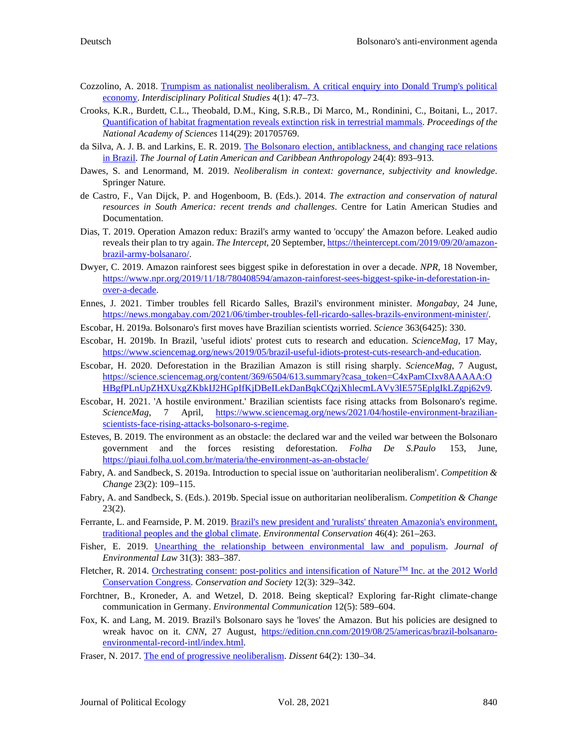- Cozzolino, A. 2018. [Trumpism as nationalist neoliberalism. A critical enquiry into Donald Trump's political](http://dx.doi.org/10.1285/i20398573v4n1p47)  [economy.](http://dx.doi.org/10.1285/i20398573v4n1p47) *Interdisciplinary Political Studies* 4(1): 47–73.
- Crooks, K.R., Burdett, C.L., Theobald, D.M., King, S.R.B., Di Marco, M., Rondinini, C., Boitani, L., 2017. [Quantification of habitat fragmentation reveals extinction risk in terrestrial mammals.](https://doi.org/10.1073/pnas.1705769114) *Proceedings of the National Academy of Sciences* 114(29): 201705769.
- da Silva, A. J. B. and Larkins, E. R. 2019. [The Bolsonaro election, antiblackness, and changing race relations](https://doi.org/10.1111/jlca.12438)  [in Brazil.](https://doi.org/10.1111/jlca.12438) *The Journal of Latin American and Caribbean Anthropology* 24(4): 893–913.
- Dawes, S. and Lenormand, M. 2019. *Neoliberalism in context: governance, subjectivity and knowledge*. Springer Nature.
- de Castro, F., Van Dijck, P. and Hogenboom, B. (Eds.). 2014. *The extraction and conservation of natural resources in South America: recent trends and challenges*. Centre for Latin American Studies and Documentation.
- Dias, T. 2019. Operation Amazon redux: Brazil's army wanted to 'occupy' the Amazon before. Leaked audio reveals their plan to try again. *The Intercept*, 20 September[, https://theintercept.com/2019/09/20/amazon](https://theintercept.com/2019/09/20/amazon-brazil-army-bolsanaro/)[brazil-army-bolsanaro/.](https://theintercept.com/2019/09/20/amazon-brazil-army-bolsanaro/)
- Dwyer, C. 2019. Amazon rainforest sees biggest spike in deforestation in over a decade. *NPR*, 18 November, [https://www.npr.org/2019/11/18/780408594/amazon-rainforest-sees-biggest-spike-in-deforestation-in](https://www.npr.org/2019/11/18/780408594/amazon-rainforest-sees-biggest-spike-in-deforestation-in-over-a-decade)[over-a-decade.](https://www.npr.org/2019/11/18/780408594/amazon-rainforest-sees-biggest-spike-in-deforestation-in-over-a-decade)
- Ennes, J. 2021. Timber troubles fell Ricardo Salles, Brazil's environment minister. *Mongabay*, 24 June, [https://news.mongabay.com/2021/06/timber-troubles-fell-ricardo-salles-brazils-environment-minister/.](https://news.mongabay.com/2021/06/timber-troubles-fell-ricardo-salles-brazils-environment-minister/)
- Escobar, H. 2019a. Bolsonaro's first moves have Brazilian scientists worried. *Science* 363(6425): 330.
- Escobar, H. 2019b. In Brazil, 'useful idiots' protest cuts to research and education. *ScienceMag*, 17 May, [https://www.sciencemag.org/news/2019/05/brazil-useful-idiots-protest-cuts-research-and-education.](https://www.sciencemag.org/news/2019/05/brazil-useful-idiots-protest-cuts-research-and-education)
- Escobar, H. 2020. Deforestation in the Brazilian Amazon is still rising sharply. *ScienceMag*, 7 August, [https://science.sciencemag.org/content/369/6504/613.summary?casa\\_token=C4xPamCIxv8AAAAA:O](https://science.sciencemag.org/content/369/6504/613.summary?casa_token=C4xPamCIxv8AAAAA:OHBgfPLnUpZHXUxgZKbkIJ2HGpIfKjDBeILekDanBqkCQzjXhlecmLAVy3lE575EplgIkLZgpj62v9) [HBgfPLnUpZHXUxgZKbkIJ2HGpIfKjDBeILekDanBqkCQzjXhlecmLAVy3lE575EplgIkLZgpj62v9.](https://science.sciencemag.org/content/369/6504/613.summary?casa_token=C4xPamCIxv8AAAAA:OHBgfPLnUpZHXUxgZKbkIJ2HGpIfKjDBeILekDanBqkCQzjXhlecmLAVy3lE575EplgIkLZgpj62v9)
- Escobar, H. 2021. 'A hostile environment.' Brazilian scientists face rising attacks from Bolsonaro's regime. *ScienceMag*, 7 April, [https://www.sciencemag.org/news/2021/04/hostile-environment-brazilian](https://www.sciencemag.org/news/2021/04/hostile-environment-brazilian-scientists-face-rising-attacks-bolsonaro-s-regime)[scientists-face-rising-attacks-bolsonaro-s-regime.](https://www.sciencemag.org/news/2021/04/hostile-environment-brazilian-scientists-face-rising-attacks-bolsonaro-s-regime)
- Esteves, B. 2019. The environment as an obstacle: the declared war and the veiled war between the Bolsonaro government and the forces resisting deforestation. *Folha De S.Paulo* 153, June, <https://piaui.folha.uol.com.br/materia/the-environment-as-an-obstacle/>
- Fabry, A. and Sandbeck, S. 2019a. Introduction to special issue on 'authoritarian neoliberalism'. *Competition & Change* 23(2): 109–115.
- Fabry, A. and Sandbeck, S. (Eds.). 2019b. Special issue on authoritarian neoliberalism. *Competition & Change* 23(2).
- Ferrante, L. and Fearnside, P. M. 2019[. Brazil's new president and 'ruralists'](https://doi.org/10.1017/S0376892919000213) threaten Amazonia's environment, [traditional peoples and the global climate.](https://doi.org/10.1017/S0376892919000213) *Environmental Conservation* 46(4): 261–263.
- Fisher, E. 2019. [Unearthing the relationship between environmental law and populism.](https://doi.org/10.1093/jel/eqz028) *Journal of Environmental Law* 31(3): 383–387.
- Fletcher, R. 2014. Orchestrating consent: post-politics and intensification of Nature™ Inc. at the 2012 World [Conservation Congress.](http://doi.org/10.4103/0972-4923.145167) *Conservation and Society* 12(3): 329–342.
- Forchtner, B., Kroneder, A. and Wetzel, D. 2018. Being skeptical? Exploring far-Right climate-change communication in Germany. *Environmental Communication* 12(5): 589–604.
- Fox, K. and Lang, M. 2019. Brazil's Bolsonaro says he 'loves' the Amazon. But his policies are designed to wreak havoc on it. *CNN*, 27 August, [https://edition.cnn.com/2019/08/25/americas/brazil-bolsanaro](https://edition.cnn.com/2019/08/25/americas/brazil-bolsanaro-environmental-record-intl/index.html)[environmental-record-intl/index.html.](https://edition.cnn.com/2019/08/25/americas/brazil-bolsanaro-environmental-record-intl/index.html)
- Fraser, N. 2017. [The end of progressive neoliberalism.](https://www.dissentmagazine.org/online_articles/progressive-neoliberalism-reactionary-populism-nancy-fraser) *Dissent* 64(2): 130–34.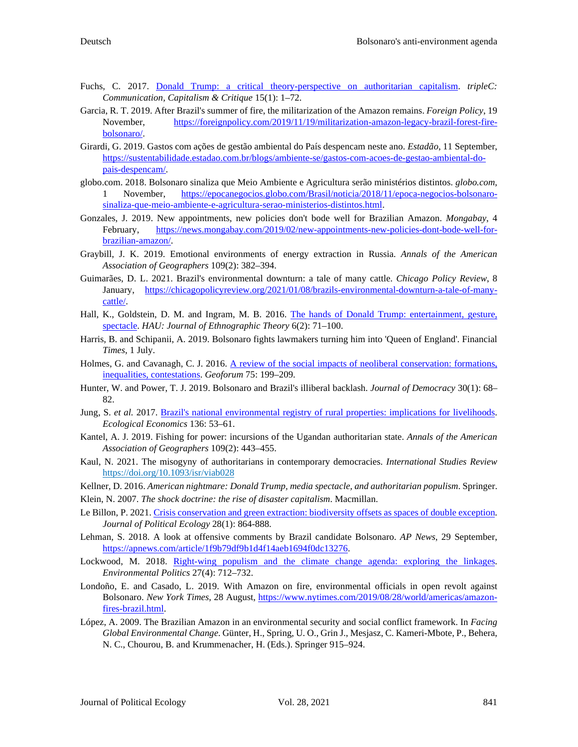- Fuchs, C. 2017. [Donald Trump: a critical theory-perspective on authoritarian capitalism.](https://doi.org/10.31269/triplec.v15i1.835) *tripleC: Communication, Capitalism & Critique* 15(1): 1–72.
- Garcia, R. T. 2019. After Brazil's summer of fire, the militarization of the Amazon remains. *Foreign Policy*, 19 November, [https://foreignpolicy.com/2019/11/19/militarization-amazon-legacy-brazil-forest-fire](https://foreignpolicy.com/2019/11/19/militarization-amazon-legacy-brazil-forest-fire-bolsonaro/)[bolsonaro/.](https://foreignpolicy.com/2019/11/19/militarization-amazon-legacy-brazil-forest-fire-bolsonaro/)
- Girardi, G. 2019. Gastos com ações de gestão ambiental do País despencam neste ano. *Estadão*, 11 September, [https://sustentabilidade.estadao.com.br/blogs/ambiente-se/gastos-com-acoes-de-gestao-ambiental-do](https://sustentabilidade.estadao.com.br/blogs/ambiente-se/gastos-com-acoes-de-gestao-ambiental-do-pais-despencam/)[pais-despencam/.](https://sustentabilidade.estadao.com.br/blogs/ambiente-se/gastos-com-acoes-de-gestao-ambiental-do-pais-despencam/)
- globo.com. 2018. Bolsonaro sinaliza que Meio Ambiente e Agricultura serão ministérios distintos. *globo.com*, 1 November, [https://epocanegocios.globo.com/Brasil/noticia/2018/11/epoca-negocios-bolsonaro](https://epocanegocios.globo.com/Brasil/noticia/2018/11/epoca-negocios-bolsonaro-sinaliza-que-meio-ambiente-e-agricultura-serao-ministerios-distintos.html)[sinaliza-que-meio-ambiente-e-agricultura-serao-ministerios-distintos.html.](https://epocanegocios.globo.com/Brasil/noticia/2018/11/epoca-negocios-bolsonaro-sinaliza-que-meio-ambiente-e-agricultura-serao-ministerios-distintos.html)
- Gonzales, J. 2019. New appointments, new policies don't bode well for Brazilian Amazon. *Mongabay*, 4 February, [https://news.mongabay.com/2019/02/new-appointments-new-policies-dont-bode-well-for](https://news.mongabay.com/2019/02/new-appointments-new-policies-dont-bode-well-for-brazilian-amazon/)[brazilian-amazon/.](https://news.mongabay.com/2019/02/new-appointments-new-policies-dont-bode-well-for-brazilian-amazon/)
- Graybill, J. K. 2019. Emotional environments of energy extraction in Russia. *Annals of the American Association of Geographers* 109(2): 382–394.
- Guimarães, D. L. 2021. Brazil's environmental downturn: a tale of many cattle. *Chicago Policy Review*, 8 January, [https://chicagopolicyreview.org/2021/01/08/brazils-environmental-downturn-a-tale-of-many](https://chicagopolicyreview.org/2021/01/08/brazils-environmental-downturn-a-tale-of-many-cattle/)[cattle/.](https://chicagopolicyreview.org/2021/01/08/brazils-environmental-downturn-a-tale-of-many-cattle/)
- Hall, K., Goldstein, D. M. and Ingram, M. B. 2016. [The hands of Donald Trump: entertainment, gesture,](https://doi.org/10.14318/hau6.2.009)  [spectacle.](https://doi.org/10.14318/hau6.2.009) *HAU: Journal of Ethnographic Theory* 6(2): 71–100.
- Harris, B. and Schipanii, A. 2019. Bolsonaro fights lawmakers turning him into 'Queen of England'. Financial *Times*, 1 July.
- Holmes, G. and Cavanagh, C. J. 2016. A review of the social impacts of neoliberal conservation: formations, [inequalities, contestations.](https://eprints.whiterose.ac.uk/103500/2/HolmesSocial%20impacts%20of%20neoliberal%20conservation.pdf) *Geoforum* 75: 199–209.
- Hunter, W. and Power, T. J. 2019. Bolsonaro and Brazil's illiberal backlash. *Journal of Democracy* 30(1): 68– 82.
- Jung, S. *et al.* 2017. [Brazil's national environmental registry of rural properties: implications for](https://doi.org/10.1016/j.ecolecon.2017.02.004) livelihoods. *Ecological Economics* 136: 53–61.
- Kantel, A. J. 2019. Fishing for power: incursions of the Ugandan authoritarian state. *Annals of the American Association of Geographers* 109(2): 443–455.
- Kaul, N. 2021. The misogyny of authoritarians in contemporary democracies. *International Studies Review* <https://doi.org/10.1093/isr/viab028>

Kellner, D. 2016. *American nightmare: Donald Trump, media spectacle, and authoritarian populism*. Springer.

Klein, N. 2007. *The shock doctrine: the rise of disaster capitalism*. Macmillan.

- Le Billon, P. 2021[. Crisis conservation and green extraction: biodiversity offsets as spaces of double exception.](https://doi.org/10.2458/jpe.2991)  *Journal of Political Ecology* 28(1): 864-888.
- Lehman, S. 2018. A look at offensive comments by Brazil candidate Bolsonaro. *AP News*, 29 September, [https://apnews.com/article/1f9b79df9b1d4f14aeb1694f0dc13276.](https://apnews.com/article/1f9b79df9b1d4f14aeb1694f0dc13276)
- Lockwood, M. 2018. [Right-wing populism and the climate change agenda: exploring the linkages.](http://sro.sussex.ac.uk/id/eprint/81164/1/Right%20wing%20populism%20and%20the%20climate%20agenda%20Accepted%20Manuscript.pdf)  *Environmental Politics* 27(4): 712–732.
- Londoño, E. and Casado, L. 2019. With Amazon on fire, environmental officials in open revolt against Bolsonaro. *New York Times*, 28 August, [https://www.nytimes.com/2019/08/28/world/americas/amazon](https://www.nytimes.com/2019/08/28/world/americas/amazon-fires-brazil.html)[fires-brazil.html.](https://www.nytimes.com/2019/08/28/world/americas/amazon-fires-brazil.html)
- López, A. 2009. The Brazilian Amazon in an environmental security and social conflict framework. In *Facing Global Environmental Change*. Günter, H., Spring, U. O., Grin J., Mesjasz, C. Kameri-Mbote, P., Behera, N. C., Chourou, B. and Krummenacher, H. (Eds.). Springer 915–924.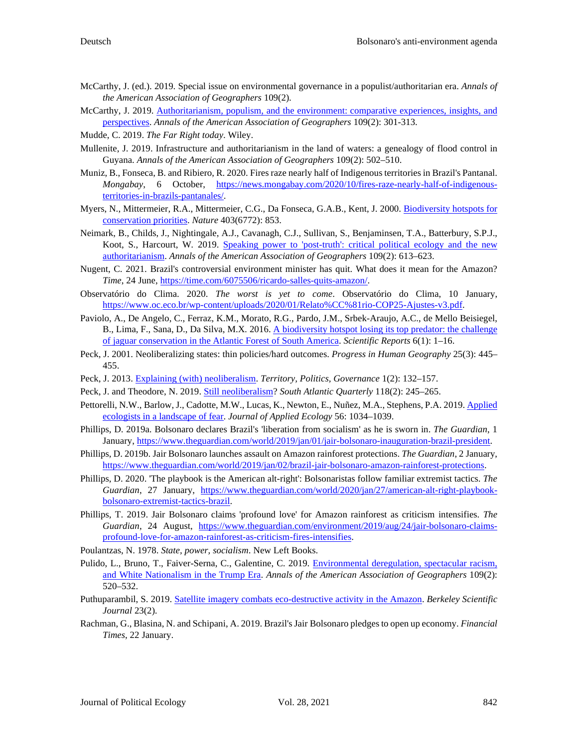- McCarthy, J. (ed.). 2019. Special issue on environmental governance in a populist/authoritarian era. *Annals of the American Association of Geographers* 109(2).
- McCarthy, J. 2019. [Authoritarianism, populism, and the environment: comparative experiences, insights, and](https://doi.org/10.1080/24694452.2018.1554393)  [perspectives.](https://doi.org/10.1080/24694452.2018.1554393) *Annals of the American Association of Geographers* 109(2): 301-313.
- Mudde, C. 2019. *The Far Right today*. Wiley.
- Mullenite, J. 2019. Infrastructure and authoritarianism in the land of waters: a genealogy of flood control in Guyana. *Annals of the American Association of Geographers* 109(2): 502–510.
- Muniz, B., Fonseca, B. and Ribiero, R. 2020. Fires raze nearly half of Indigenous territories in Brazil's Pantanal. *Mongabay*, 6 October, [https://news.mongabay.com/2020/10/fires-raze-nearly-half-of-indigenous](https://news.mongabay.com/2020/10/fires-raze-nearly-half-of-indigenous-territories-in-brazils-pantanales/)[territories-in-brazils-pantanales/.](https://news.mongabay.com/2020/10/fires-raze-nearly-half-of-indigenous-territories-in-brazils-pantanales/)
- Myers, N., Mittermeier, R.A., Mittermeier, C.G., Da Fonseca, G.A.B., Kent, J. 2000[. Biodiversity hotspots for](https://sdmmp.com/upload/SDMMP_Repository/0/038n1thz2kcdwfpqs7jy6mrvg4xb59.pdf)  [conservation priorities.](https://sdmmp.com/upload/SDMMP_Repository/0/038n1thz2kcdwfpqs7jy6mrvg4xb59.pdf) *Nature* 403(6772): 853.
- Neimark, B., Childs, J., Nightingale, A.J., Cavanagh, C.J., Sullivan, S., Benjaminsen, T.A., Batterbury, S.P.J., Koot, S., Harcourt, W*.* 2019. [Speaking power to 'post-truth': critical political ecology and the new](https://eprints.lancs.ac.uk/id/eprint/127845/1/Annals_SI_paper_revised_FINAL_REVISION_2018_JC.pdf)  [authoritarianism.](https://eprints.lancs.ac.uk/id/eprint/127845/1/Annals_SI_paper_revised_FINAL_REVISION_2018_JC.pdf) *Annals of the American Association of Geographers* 109(2): 613–623.
- Nugent, C. 2021. Brazil's controversial environment minister has quit. What does it mean for the Amazon? *Time*, 24 June[, https://time.com/6075506/ricardo-salles-quits-amazon/.](https://time.com/6075506/ricardo-salles-quits-amazon/)
- Observatório do Clima. 2020. *The worst is yet to come*. Observatório do Clima, 10 January, [https://www.oc.eco.br/wp-content/uploads/2020/01/Relato%CC%81rio-COP25-Ajustes-v3.pdf.](https://www.oc.eco.br/wp-content/uploads/2020/01/Relato%CC%81rio-COP25-Ajustes-v3.pdf)
- Paviolo, A., De Angelo, C., Ferraz, K.M., Morato, R.G., Pardo, J.M., Srbek-Araujo, A.C., de Mello Beisiegel, B., Lima, F., Sana, D., Da Silva, M.X*.* 2016[. A biodiversity hotspot losing its top predator: the challenge](https://www.nature.com/articles/srep37147)  [of jaguar conservation in the Atlantic Forest of South America.](https://www.nature.com/articles/srep37147) *Scientific Reports* 6(1): 1–16.
- Peck, J. 2001. Neoliberalizing states: thin policies/hard outcomes. *Progress in Human Geography* 25(3): 445– 455.
- Peck, J. 2013. [Explaining \(with\) neoliberalism.](https://doi.org/10.1080/21622671.2013.785365) *Territory, Politics, Governance* 1(2): 132–157.
- Peck, J. and Theodore, N. 2019. [Still neoliberalism?](http://dx.doi.org/10.1215/00382876-7381122) *South Atlantic Quarterly* 118(2): 245–265.
- Pettorelli, N.W., Barlow, J., Cadotte, M.W., Lucas, K., Newton, E., Nuñez, M.A., Stephens, P.A. 2019. Applied [ecologists in a landscape of fear.](https://doi.org/10.1111/1365-2664.13382) *Journal of Applied Ecology* 56: 1034–1039.
- Phillips, D. 2019a. Bolsonaro declares Brazil's 'liberation from socialism' as he is sworn in. *The Guardian*, 1 January, [https://www.theguardian.com/world/2019/jan/01/jair-bolsonaro-inauguration-brazil-president.](https://www.theguardian.com/world/2019/jan/01/jair-bolsonaro-inauguration-brazil-president)
- Phillips, D. 2019b. Jair Bolsonaro launches assault on Amazon rainforest protections. *The Guardian*, 2 January, [https://www.theguardian.com/world/2019/jan/02/brazil-jair-bolsonaro-amazon-rainforest-protections.](https://www.theguardian.com/world/2019/jan/02/brazil-jair-bolsonaro-amazon-rainforest-protections)
- Phillips, D. 2020. 'The playbook is the American alt-right': Bolsonaristas follow familiar extremist tactics. *The Guardian*, 27 January, [https://www.theguardian.com/world/2020/jan/27/american-alt-right-playbook](https://www.theguardian.com/world/2020/jan/27/american-alt-right-playbook-bolsonaro-extremist-tactics-brazil)[bolsonaro-extremist-tactics-brazil.](https://www.theguardian.com/world/2020/jan/27/american-alt-right-playbook-bolsonaro-extremist-tactics-brazil)
- Phillips, T. 2019. Jair Bolsonaro claims 'profound love' for Amazon rainforest as criticism intensifies. *The Guardian*, 24 August, [https://www.theguardian.com/environment/2019/aug/24/jair-bolsonaro-claims](https://www.theguardian.com/environment/2019/aug/24/jair-bolsonaro-claims-profound-love-for-amazon-rainforest-as-criticism-fires-intensifies)[profound-love-for-amazon-rainforest-as-criticism-fires-intensifies.](https://www.theguardian.com/environment/2019/aug/24/jair-bolsonaro-claims-profound-love-for-amazon-rainforest-as-criticism-fires-intensifies)
- Poulantzas, N. 1978. *State, power, socialism*. New Left Books.
- Pulido, L., Bruno, T., Faiver-Serna, C., Galentine, C. 2019. Environmental deregulation, spectacular racism, [and White Nationalism in the Trump Era.](https://7dba123b-bc86-41b8-9689-5cb7329b5985.filesusr.com/ugd/c047cf_7f9e0e4342e043c8842a341d2df50a49.pdf) *Annals of the American Association of Geographers* 109(2): 520–532.
- Puthuparambil, S. 2019. [Satellite imagery combats eco-destructive activity in the Amazon.](https://doi.org/10.5070/BS3232045347) *Berkeley Scientific Journal* 23(2).
- Rachman, G., Blasina, N. and Schipani, A. 2019. Brazil's Jair Bolsonaro pledges to open up economy. *Financial Times*, 22 January.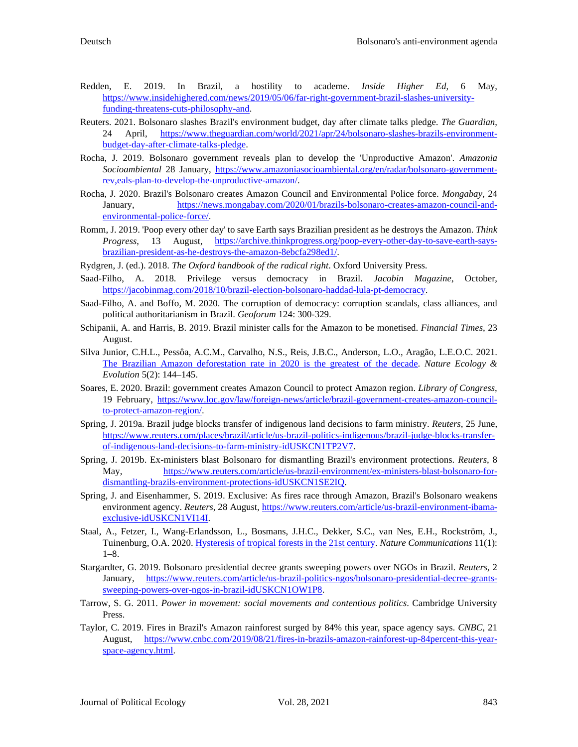- Redden, E. 2019. In Brazil, a hostility to academe. *Inside Higher Ed*, 6 May, [https://www.insidehighered.com/news/2019/05/06/far-right-government-brazil-slashes-university](https://www.insidehighered.com/news/2019/05/06/far-right-government-brazil-slashes-university-funding-threatens-cuts-philosophy-and)[funding-threatens-cuts-philosophy-and.](https://www.insidehighered.com/news/2019/05/06/far-right-government-brazil-slashes-university-funding-threatens-cuts-philosophy-and)
- Reuters. 2021. Bolsonaro slashes Brazil's environment budget, day after climate talks pledge. *The Guardian*, 24 April, [https://www.theguardian.com/world/2021/apr/24/bolsonaro-slashes-brazils-environment](https://www.theguardian.com/world/2021/apr/24/bolsonaro-slashes-brazils-environment-budget-day-after-climate-talks-pledge)[budget-day-after-climate-talks-pledge.](https://www.theguardian.com/world/2021/apr/24/bolsonaro-slashes-brazils-environment-budget-day-after-climate-talks-pledge)
- Rocha, J. 2019. Bolsonaro government reveals plan to develop the 'Unproductive Amazon'. *Amazonia Socioambiental* 28 January, [https://www.amazoniasocioambiental.org/en/radar/bolsonaro-government](https://www.amazoniasocioambiental.org/en/radar/bolsonaro-government-rev,eals-plan-to-develop-the-unproductive-amazon/)[rev,eals-plan-to-develop-the-unproductive-amazon/.](https://www.amazoniasocioambiental.org/en/radar/bolsonaro-government-rev,eals-plan-to-develop-the-unproductive-amazon/)
- Rocha, J. 2020. Brazil's Bolsonaro creates Amazon Council and Environmental Police force. *Mongabay*, 24 January, [https://news.mongabay.com/2020/01/brazils-bolsonaro-creates-amazon-council-and](https://news.mongabay.com/2020/01/brazils-bolsonaro-creates-amazon-council-and-environmental-police-force/)[environmental-police-force/.](https://news.mongabay.com/2020/01/brazils-bolsonaro-creates-amazon-council-and-environmental-police-force/)
- Romm, J. 2019. 'Poop every other day' to save Earth says Brazilian president as he destroys the Amazon. *Think Progress*, 13 August, [https://archive.thinkprogress.org/poop-every-other-day-to-save-earth-says](https://archive.thinkprogress.org/poop-every-other-day-to-save-earth-says-brazilian-president-as-he-destroys-the-amazon-8ebcfa298ed1/)[brazilian-president-as-he-destroys-the-amazon-8ebcfa298ed1/.](https://archive.thinkprogress.org/poop-every-other-day-to-save-earth-says-brazilian-president-as-he-destroys-the-amazon-8ebcfa298ed1/)
- Rydgren, J. (ed.). 2018. *The Oxford handbook of the radical right*. Oxford University Press.
- Saad-Filho, A. 2018. Privilege versus democracy in Brazil. *Jacobin Magazine*, October, [https://jacobinmag.com/2018/10/brazil-election-bolsonaro-haddad-lula-pt-democracy.](https://jacobinmag.com/2018/10/brazil-election-bolsonaro-haddad-lula-pt-democracy)
- Saad-Filho, A. and Boffo, M. 2020. The corruption of democracy: corruption scandals, class alliances, and political authoritarianism in Brazil. *Geoforum* 124: 300-329.
- Schipanii, A. and Harris, B. 2019. Brazil minister calls for the Amazon to be monetised. *Financial Times*, 23 August.
- Silva Junior, C.H.L., Pessôa, A.C.M., Carvalho, N.S., Reis, J.B.C., Anderson, L.O., Aragão, L.E.O.C. 2021. [The Brazilian Amazon deforestation rate in 2020 is the greatest of the decade.](https://doi.org/10.1038/s41559-020-01368-x) *Nature Ecology & Evolution* 5(2): 144–145.
- Soares, E. 2020. Brazil: government creates Amazon Council to protect Amazon region. *Library of Congress*, 19 February, [https://www.loc.gov/law/foreign-news/article/brazil-government-creates-amazon-council](https://www.loc.gov/law/foreign-news/article/brazil-government-creates-amazon-council-to-protect-amazon-region/)[to-protect-amazon-region/.](https://www.loc.gov/law/foreign-news/article/brazil-government-creates-amazon-council-to-protect-amazon-region/)
- Spring, J. 2019a. Brazil judge blocks transfer of indigenous land decisions to farm ministry. *Reuters*, 25 June, [https://www.reuters.com/places/brazil/article/us-brazil-politics-indigenous/brazil-judge-blocks-transfer](https://www.reuters.com/places/brazil/article/us-brazil-politics-indigenous/brazil-judge-blocks-transfer-of-indigenous-land-decisions-to-farm-ministry-idUSKCN1TP2V7)[of-indigenous-land-decisions-to-farm-ministry-idUSKCN1TP2V7.](https://www.reuters.com/places/brazil/article/us-brazil-politics-indigenous/brazil-judge-blocks-transfer-of-indigenous-land-decisions-to-farm-ministry-idUSKCN1TP2V7)
- Spring, J. 2019b. Ex-ministers blast Bolsonaro for dismantling Brazil's environment protections. *Reuters*, 8 May, [https://www.reuters.com/article/us-brazil-environment/ex-ministers-blast-bolsonaro-for](https://www.reuters.com/article/us-brazil-environment/ex-ministers-blast-bolsonaro-for-dismantling-brazils-environment-protections-idUSKCN1SE2IQ)[dismantling-brazils-environment-protections-idUSKCN1SE2IQ.](https://www.reuters.com/article/us-brazil-environment/ex-ministers-blast-bolsonaro-for-dismantling-brazils-environment-protections-idUSKCN1SE2IQ)
- Spring, J. and Eisenhammer, S. 2019. Exclusive: As fires race through Amazon, Brazil's Bolsonaro weakens environment agency. *Reuters*, 28 August[, https://www.reuters.com/article/us-brazil-environment-ibama](https://www.reuters.com/article/us-brazil-environment-ibama-exclusive-idUSKCN1VI14I)[exclusive-idUSKCN1VI14I.](https://www.reuters.com/article/us-brazil-environment-ibama-exclusive-idUSKCN1VI14I)
- Staal, A., Fetzer, I., Wang-Erlandsson, L., Bosmans, J.H.C., Dekker, S.C., van Nes, E.H., Rockström, J., Tuinenburg, O.A. 2020. [Hysteresis of tropical forests in the 21st century.](https://doi.org/10.1038/s41467-020-18728-7) *Nature Communications* 11(1): 1–8.
- Stargardter, G. 2019. Bolsonaro presidential decree grants sweeping powers over NGOs in Brazil. *Reuters*, 2 January, [https://www.reuters.com/article/us-brazil-politics-ngos/bolsonaro-presidential-decree-grants](https://www.reuters.com/article/us-brazil-politics-ngos/bolsonaro-presidential-decree-grants-sweeping-powers-over-ngos-in-brazil-idUSKCN1OW1P8)[sweeping-powers-over-ngos-in-brazil-idUSKCN1OW1P8.](https://www.reuters.com/article/us-brazil-politics-ngos/bolsonaro-presidential-decree-grants-sweeping-powers-over-ngos-in-brazil-idUSKCN1OW1P8)
- Tarrow, S. G. 2011. *Power in movement: social movements and contentious politics*. Cambridge University Press.
- Taylor, C. 2019. Fires in Brazil's Amazon rainforest surged by 84% this year, space agency says. *CNBC*, 21 August, [https://www.cnbc.com/2019/08/21/fires-in-brazils-amazon-rainforest-up-84percent-this-year](https://www.cnbc.com/2019/08/21/fires-in-brazils-amazon-rainforest-up-84percent-this-year-space-agency.html)[space-agency.html.](https://www.cnbc.com/2019/08/21/fires-in-brazils-amazon-rainforest-up-84percent-this-year-space-agency.html)